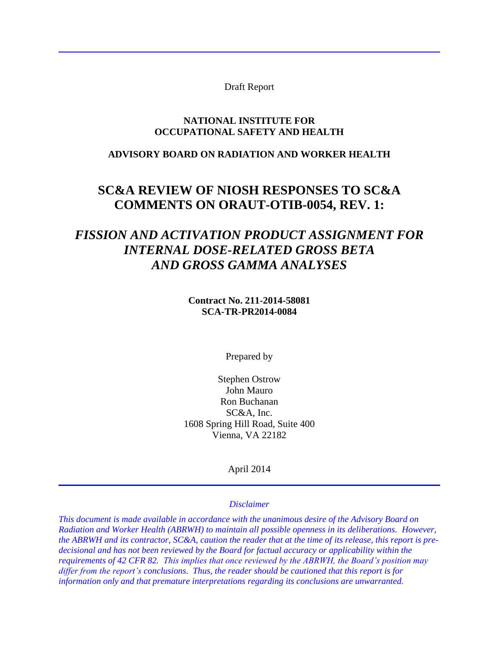Draft Report

#### **NATIONAL INSTITUTE FOR OCCUPATIONAL SAFETY AND HEALTH**

#### **ADVISORY BOARD ON RADIATION AND WORKER HEALTH**

# **SC&A REVIEW OF NIOSH RESPONSES TO SC&A COMMENTS ON ORAUT-OTIB-0054, REV. 1:**

# *FISSION AND ACTIVATION PRODUCT ASSIGNMENT FOR INTERNAL DOSE-RELATED GROSS BETA AND GROSS GAMMA ANALYSES*

**Contract No. 211-2014-58081 SCA-TR-PR2014-0084**

Prepared by

Stephen Ostrow John Mauro Ron Buchanan SC&A, Inc. 1608 Spring Hill Road, Suite 400 Vienna, VA 22182

April 2014

#### *Disclaimer*

*This document is made available in accordance with the unanimous desire of the Advisory Board on Radiation and Worker Health (ABRWH) to maintain all possible openness in its deliberations. However, the ABRWH and its contractor, SC&A, caution the reader that at the time of its release, this report is predecisional and has not been reviewed by the Board for factual accuracy or applicability within the requirements of 42 CFR 82. This implies that once reviewed by the ABRWH, the Board's position may differ from the report's conclusions. Thus, the reader should be cautioned that this report is for information only and that premature interpretations regarding its conclusions are unwarranted.*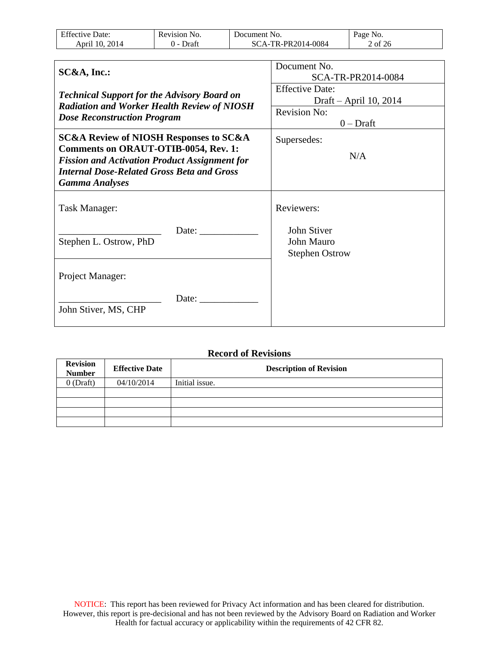| F C<br>)ate:<br>НŤ<br><b>AVP</b><br>. | NO.<br>evision<br>. | ument :<br>No.<br>Jocup<br>. | NO.<br>Jage |
|---------------------------------------|---------------------|------------------------------|-------------|
| Anri                                  | Jrat                | 4-0084<br>2014<br>ΡR         | 0t<br>Ζt    |

| SC&A, Inc.:                                                                                                                                                                                                                                | Document No.<br>SCA-TR-PR2014-0084               |  |
|--------------------------------------------------------------------------------------------------------------------------------------------------------------------------------------------------------------------------------------------|--------------------------------------------------|--|
| <b>Technical Support for the Advisory Board on</b><br><b>Radiation and Worker Health Review of NIOSH</b>                                                                                                                                   | <b>Effective Date:</b><br>Draft – April 10, 2014 |  |
| <b>Dose Reconstruction Program</b>                                                                                                                                                                                                         | <b>Revision No:</b><br>$0$ – Draft               |  |
| <b>SC&amp;A Review of NIOSH Responses to SC&amp;A</b><br><b>Comments on ORAUT-OTIB-0054, Rev. 1:</b><br><b>Fission and Activation Product Assignment for</b><br><b>Internal Dose-Related Gross Beta and Gross</b><br><b>Gamma Analyses</b> | Supersedes:<br>N/A                               |  |
| Task Manager:<br>Date:                                                                                                                                                                                                                     | Reviewers:<br>John Stiver                        |  |
| Stephen L. Ostrow, PhD                                                                                                                                                                                                                     | John Mauro<br><b>Stephen Ostrow</b>              |  |
| Project Manager:                                                                                                                                                                                                                           |                                                  |  |
| Date:<br>John Stiver, MS, CHP                                                                                                                                                                                                              |                                                  |  |

#### **Record of Revisions**

| <b>Revision</b><br><b>Number</b> | <b>Effective Date</b> | <b>Description of Revision</b> |
|----------------------------------|-----------------------|--------------------------------|
| $0$ (Draft)                      | 04/10/2014            | Initial issue.                 |
|                                  |                       |                                |
|                                  |                       |                                |
|                                  |                       |                                |
|                                  |                       |                                |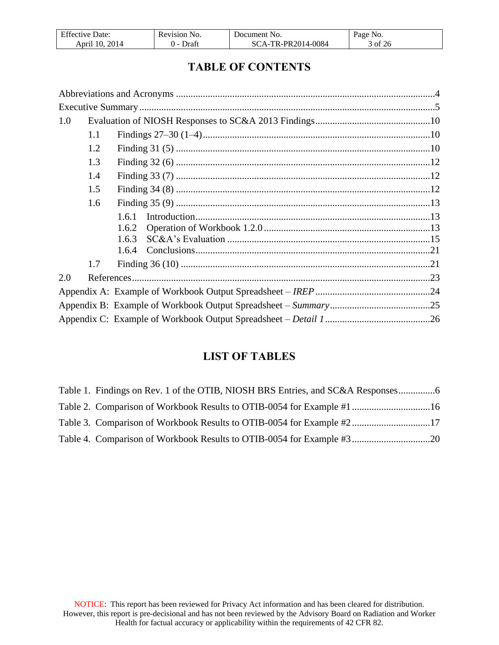| $F^{\alpha}$<br>Jate:<br>Effective | <b>Revision</b><br>INO. | Jocument<br>NO.                      | Page No.   |
|------------------------------------|-------------------------|--------------------------------------|------------|
| 2014<br>10.<br>April               | Draft<br>.              | R-PR2014-0084<br>TD.<br>$\Delta$ $-$ | 3 of<br>26 |

# **TABLE OF CONTENTS**

| 1.0 |       |  |
|-----|-------|--|
| 1.1 |       |  |
| 1.2 |       |  |
| 1.3 |       |  |
| 1.4 |       |  |
| 1.5 |       |  |
| 1.6 |       |  |
|     | 1.6.1 |  |
|     | 1.6.2 |  |
|     | 1.6.3 |  |
|     | 1.6.4 |  |
| 1.7 |       |  |
| 2.0 |       |  |
|     |       |  |
|     |       |  |
|     |       |  |

# **LIST OF TABLES**

| Table 3. Comparison of Workbook Results to OTIB-0054 for Example #217 |  |
|-----------------------------------------------------------------------|--|
|                                                                       |  |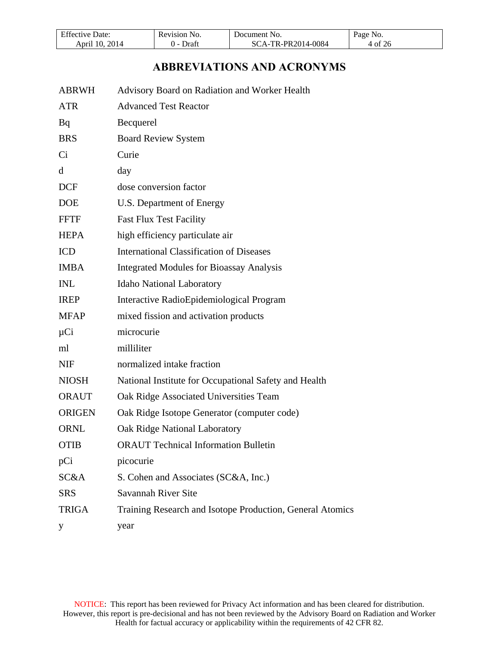| T C<br>Date:<br>Effective | Kevision<br>N <sub>O</sub><br>re | Document No.                                       | Page<br>N <sub>0</sub> |
|---------------------------|----------------------------------|----------------------------------------------------|------------------------|
| 2014<br>10<br>April       | Draf                             | -PR2014-0084<br>TD.<br>SC<br>$^{\prime}$ $\Lambda$ | · of                   |

# **ABBREVIATIONS AND ACRONYMS**

<span id="page-3-0"></span>

| <b>ABRWH</b>  | Advisory Board on Radiation and Worker Health             |
|---------------|-----------------------------------------------------------|
| <b>ATR</b>    | <b>Advanced Test Reactor</b>                              |
| Bq            | Becquerel                                                 |
| <b>BRS</b>    | <b>Board Review System</b>                                |
| Ci            | Curie                                                     |
| d             | day                                                       |
| <b>DCF</b>    | dose conversion factor                                    |
| <b>DOE</b>    | U.S. Department of Energy                                 |
| <b>FFTF</b>   | <b>Fast Flux Test Facility</b>                            |
| <b>HEPA</b>   | high efficiency particulate air                           |
| <b>ICD</b>    | <b>International Classification of Diseases</b>           |
| <b>IMBA</b>   | <b>Integrated Modules for Bioassay Analysis</b>           |
| <b>INL</b>    | <b>Idaho National Laboratory</b>                          |
| <b>IREP</b>   | Interactive RadioEpidemiological Program                  |
| <b>MFAP</b>   | mixed fission and activation products                     |
| $\mu$ Ci      | microcurie                                                |
| ml            | milliliter                                                |
| <b>NIF</b>    | normalized intake fraction                                |
| <b>NIOSH</b>  | National Institute for Occupational Safety and Health     |
| <b>ORAUT</b>  | Oak Ridge Associated Universities Team                    |
| <b>ORIGEN</b> | Oak Ridge Isotope Generator (computer code)               |
| <b>ORNL</b>   | Oak Ridge National Laboratory                             |
| <b>OTIB</b>   | <b>ORAUT Technical Information Bulletin</b>               |
| pCi           | picocurie                                                 |
| SC&A          | S. Cohen and Associates (SC&A, Inc.)                      |
| <b>SRS</b>    | Savannah River Site                                       |
| <b>TRIGA</b>  | Training Research and Isotope Production, General Atomics |
| y             | year                                                      |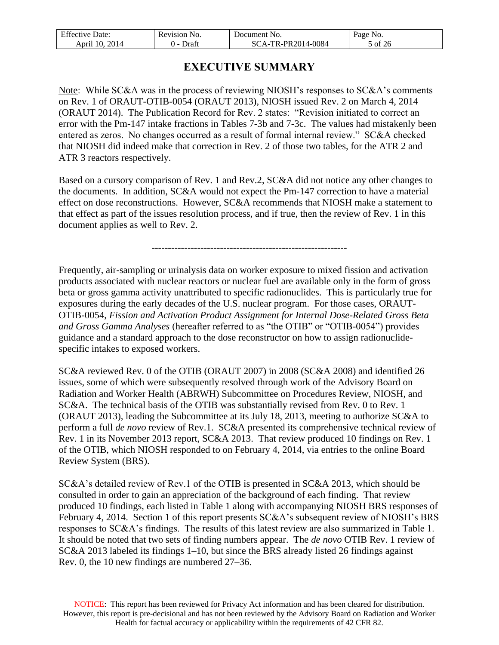| $F^{\alpha}$<br>Jate:<br>. | N <sub>O</sub><br>P.V1S1ON<br>. | nent<br>100<br>NO.                | NO.<br>аое |
|----------------------------|---------------------------------|-----------------------------------|------------|
| 2014<br>Anri'              | Jraf                            | PR2014-0084<br>тd<br>$\mathbf{r}$ | 0t<br>26.  |

# **EXECUTIVE SUMMARY**

<span id="page-4-0"></span>Note: While SC&A was in the process of reviewing NIOSH's responses to SC&A's comments on Rev. 1 of ORAUT-OTIB-0054 (ORAUT 2013), NIOSH issued Rev. 2 on March 4, 2014 (ORAUT 2014). The Publication Record for Rev. 2 states: "Revision initiated to correct an error with the Pm-147 intake fractions in Tables 7-3b and 7-3c. The values had mistakenly been entered as zeros. No changes occurred as a result of formal internal review." SC&A checked that NIOSH did indeed make that correction in Rev. 2 of those two tables, for the ATR 2 and ATR 3 reactors respectively.

Based on a cursory comparison of Rev. 1 and Rev.2, SC&A did not notice any other changes to the documents. In addition, SC&A would not expect the Pm-147 correction to have a material effect on dose reconstructions. However, SC&A recommends that NIOSH make a statement to that effect as part of the issues resolution process, and if true, then the review of Rev. 1 in this document applies as well to Rev. 2.

------------------------------------------------------------

Frequently, air-sampling or urinalysis data on worker exposure to mixed fission and activation products associated with nuclear reactors or nuclear fuel are available only in the form of gross beta or gross gamma activity unattributed to specific radionuclides. This is particularly true for exposures during the early decades of the U.S. nuclear program. For those cases, ORAUT-OTIB-0054, *Fission and Activation Product Assignment for Internal Dose-Related Gross Beta and Gross Gamma Analyses* (hereafter referred to as "the OTIB" or "OTIB-0054") provides guidance and a standard approach to the dose reconstructor on how to assign radionuclidespecific intakes to exposed workers.

SC&A reviewed Rev. 0 of the OTIB (ORAUT 2007) in 2008 (SC&A 2008) and identified 26 issues, some of which were subsequently resolved through work of the Advisory Board on Radiation and Worker Health (ABRWH) Subcommittee on Procedures Review, NIOSH, and SC&A. The technical basis of the OTIB was substantially revised from Rev. 0 to Rev. 1 (ORAUT 2013), leading the Subcommittee at its July 18, 2013, meeting to authorize SC&A to perform a full *de novo* review of Rev.1. SC&A presented its comprehensive technical review of Rev. 1 in its November 2013 report, SC&A 2013. That review produced 10 findings on Rev. 1 of the OTIB, which NIOSH responded to on February 4, 2014, via entries to the online Board Review System (BRS).

SC&A's detailed review of Rev.1 of the OTIB is presented in SC&A 2013, which should be consulted in order to gain an appreciation of the background of each finding. That review produced 10 findings, each listed in Table 1 along with accompanying NIOSH BRS responses of February 4, 2014. Section 1 of this report presents SC&A's subsequent review of NIOSH's BRS responses to SC&A's findings. The results of this latest review are also summarized in Table 1. It should be noted that two sets of finding numbers appear. The *de novo* OTIB Rev. 1 review of SC&A 2013 labeled its findings 1–10, but since the BRS already listed 26 findings against Rev. 0, the 10 new findings are numbered 27–36.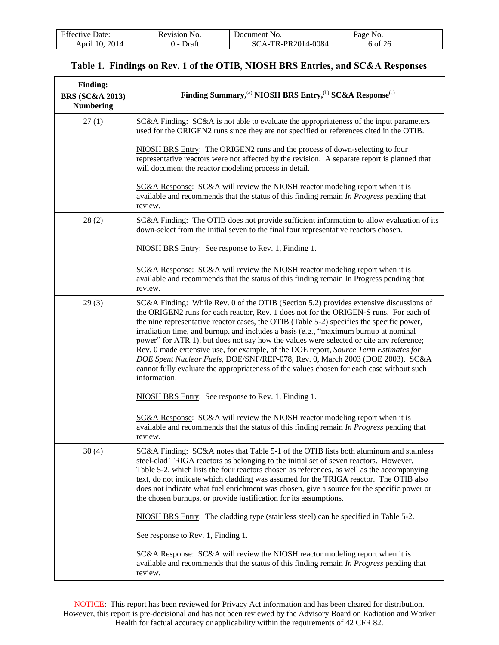| <b>Effective Date:</b> | Revision No. | Document No.       | Page No. |
|------------------------|--------------|--------------------|----------|
| 2014<br>April 10.      | Draft        | SCA-TR-PR2014-0084 | 6 of 26  |

<span id="page-5-0"></span>

| <b>Finding:</b><br><b>BRS</b> (SC&A 2013)<br><b>Numbering</b> | Finding Summary, <sup>(a)</sup> NIOSH BRS Entry, <sup>(b)</sup> SC&A Response <sup>(c)</sup>                                                                                                                                                                                                                                                                                                                                                                                                                                                                                                                                                                                                                                                            |  |  |
|---------------------------------------------------------------|---------------------------------------------------------------------------------------------------------------------------------------------------------------------------------------------------------------------------------------------------------------------------------------------------------------------------------------------------------------------------------------------------------------------------------------------------------------------------------------------------------------------------------------------------------------------------------------------------------------------------------------------------------------------------------------------------------------------------------------------------------|--|--|
| 27(1)                                                         | $SC&A$ Finding: $SC&A$ is not able to evaluate the appropriateness of the input parameters<br>used for the ORIGEN2 runs since they are not specified or references cited in the OTIB.                                                                                                                                                                                                                                                                                                                                                                                                                                                                                                                                                                   |  |  |
|                                                               | NIOSH BRS Entry: The ORIGEN2 runs and the process of down-selecting to four<br>representative reactors were not affected by the revision. A separate report is planned that<br>will document the reactor modeling process in detail.                                                                                                                                                                                                                                                                                                                                                                                                                                                                                                                    |  |  |
|                                                               | SC&A Response: SC&A will review the NIOSH reactor modeling report when it is<br>available and recommends that the status of this finding remain In Progress pending that<br>review.                                                                                                                                                                                                                                                                                                                                                                                                                                                                                                                                                                     |  |  |
| 28(2)                                                         | SC&A Finding: The OTIB does not provide sufficient information to allow evaluation of its<br>down-select from the initial seven to the final four representative reactors chosen.                                                                                                                                                                                                                                                                                                                                                                                                                                                                                                                                                                       |  |  |
|                                                               | NIOSH BRS Entry: See response to Rev. 1, Finding 1.                                                                                                                                                                                                                                                                                                                                                                                                                                                                                                                                                                                                                                                                                                     |  |  |
|                                                               | SC&A Response: SC&A will review the NIOSH reactor modeling report when it is<br>available and recommends that the status of this finding remain In Progress pending that<br>review.                                                                                                                                                                                                                                                                                                                                                                                                                                                                                                                                                                     |  |  |
| 29(3)                                                         | $SC&A$ Finding: While Rev. 0 of the OTIB (Section 5.2) provides extensive discussions of<br>the ORIGEN2 runs for each reactor, Rev. 1 does not for the ORIGEN-S runs. For each of<br>the nine representative reactor cases, the OTIB (Table 5-2) specifies the specific power,<br>irradiation time, and burnup, and includes a basis (e.g., "maximum burnup at nominal<br>power" for ATR 1), but does not say how the values were selected or cite any reference;<br>Rev. 0 made extensive use, for example, of the DOE report, Source Term Estimates for<br>DOE Spent Nuclear Fuels, DOE/SNF/REP-078, Rev. 0, March 2003 (DOE 2003). SC&A<br>cannot fully evaluate the appropriateness of the values chosen for each case without such<br>information. |  |  |
|                                                               | NIOSH BRS Entry: See response to Rev. 1, Finding 1.                                                                                                                                                                                                                                                                                                                                                                                                                                                                                                                                                                                                                                                                                                     |  |  |
|                                                               | SC&A Response: SC&A will review the NIOSH reactor modeling report when it is<br>available and recommends that the status of this finding remain In Progress pending that<br>review.                                                                                                                                                                                                                                                                                                                                                                                                                                                                                                                                                                     |  |  |
| 30(4)                                                         | SC&A Finding: SC&A notes that Table 5-1 of the OTIB lists both aluminum and stainless<br>steel-clad TRIGA reactors as belonging to the initial set of seven reactors. However,<br>Table 5-2, which lists the four reactors chosen as references, as well as the accompanying<br>text, do not indicate which cladding was assumed for the TRIGA reactor. The OTIB also<br>does not indicate what fuel enrichment was chosen, give a source for the specific power or<br>the chosen burnups, or provide justification for its assumptions.                                                                                                                                                                                                                |  |  |
|                                                               | NIOSH BRS Entry: The cladding type (stainless steel) can be specified in Table 5-2.                                                                                                                                                                                                                                                                                                                                                                                                                                                                                                                                                                                                                                                                     |  |  |
|                                                               | See response to Rev. 1, Finding 1.                                                                                                                                                                                                                                                                                                                                                                                                                                                                                                                                                                                                                                                                                                                      |  |  |
|                                                               | <b>SC&amp;A Response:</b> SC&A will review the NIOSH reactor modeling report when it is<br>available and recommends that the status of this finding remain In Progress pending that<br>review.                                                                                                                                                                                                                                                                                                                                                                                                                                                                                                                                                          |  |  |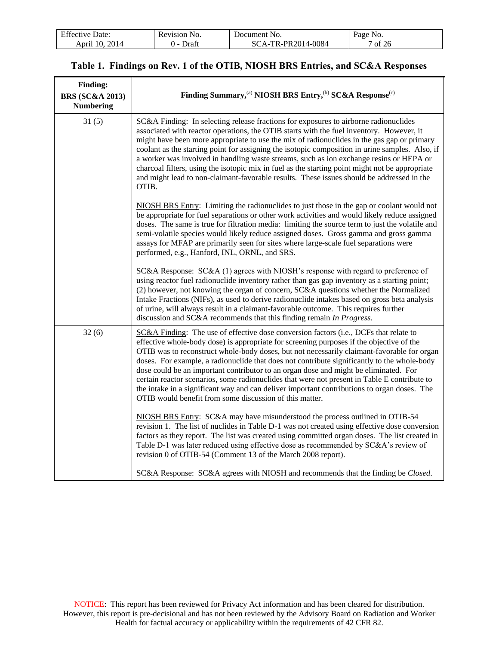| F C<br>Date:<br>Effective : | Revision<br>N <sub>O</sub> | `NO.<br>Jocument                       | yage No.  |
|-----------------------------|----------------------------|----------------------------------------|-----------|
| 2014<br>10<br>April         | Draft                      | -PR2014-0084<br>$TR_{-F}$<br>$\Lambda$ | of<br>-26 |

| <b>Finding:</b><br><b>BRS (SC&amp;A 2013)</b><br><b>Numbering</b> | Finding Summary, <sup>(a)</sup> NIOSH BRS Entry, <sup>(b)</sup> SC&A Response <sup>(c)</sup>                                                                                                                                                                                                                                                                                                                                                                                                                                                                                                                                                                                                                                     |
|-------------------------------------------------------------------|----------------------------------------------------------------------------------------------------------------------------------------------------------------------------------------------------------------------------------------------------------------------------------------------------------------------------------------------------------------------------------------------------------------------------------------------------------------------------------------------------------------------------------------------------------------------------------------------------------------------------------------------------------------------------------------------------------------------------------|
| 31(5)                                                             | SC&A Finding: In selecting release fractions for exposures to airborne radionuclides<br>associated with reactor operations, the OTIB starts with the fuel inventory. However, it<br>might have been more appropriate to use the mix of radionuclides in the gas gap or primary<br>coolant as the starting point for assigning the isotopic composition in urine samples. Also, if<br>a worker was involved in handling waste streams, such as ion exchange resins or HEPA or<br>charcoal filters, using the isotopic mix in fuel as the starting point might not be appropriate<br>and might lead to non-claimant-favorable results. These issues should be addressed in the<br>OTIB.                                            |
|                                                                   | NIOSH BRS Entry: Limiting the radionuclides to just those in the gap or coolant would not<br>be appropriate for fuel separations or other work activities and would likely reduce assigned<br>doses. The same is true for filtration media: limiting the source term to just the volatile and<br>semi-volatile species would likely reduce assigned doses. Gross gamma and gross gamma<br>assays for MFAP are primarily seen for sites where large-scale fuel separations were<br>performed, e.g., Hanford, INL, ORNL, and SRS.                                                                                                                                                                                                  |
|                                                                   | $SC&A$ Response: $SC&A(1)$ agrees with NIOSH's response with regard to preference of<br>using reactor fuel radionuclide inventory rather than gas gap inventory as a starting point;<br>(2) however, not knowing the organ of concern, SC&A questions whether the Normalized<br>Intake Fractions (NIFs), as used to derive radionuclide intakes based on gross beta analysis<br>of urine, will always result in a claimant-favorable outcome. This requires further<br>discussion and SC&A recommends that this finding remain In Progress.                                                                                                                                                                                      |
| 32(6)                                                             | SC&A Finding: The use of effective dose conversion factors (i.e., DCFs that relate to<br>effective whole-body dose) is appropriate for screening purposes if the objective of the<br>OTIB was to reconstruct whole-body doses, but not necessarily claimant-favorable for organ<br>doses. For example, a radionuclide that does not contribute significantly to the whole-body<br>dose could be an important contributor to an organ dose and might be eliminated. For<br>certain reactor scenarios, some radionuclides that were not present in Table E contribute to<br>the intake in a significant way and can deliver important contributions to organ doses. The<br>OTIB would benefit from some discussion of this matter. |
|                                                                   | NIOSH BRS Entry: SC&A may have misunderstood the process outlined in OTIB-54<br>revision 1. The list of nuclides in Table D-1 was not created using effective dose conversion<br>factors as they report. The list was created using committed organ doses. The list created in<br>Table D-1 was later reduced using effective dose as recommended by SC&A's review of<br>revision 0 of OTIB-54 (Comment 13 of the March 2008 report).                                                                                                                                                                                                                                                                                            |
|                                                                   | SC&A Response: SC&A agrees with NIOSH and recommends that the finding be Closed.                                                                                                                                                                                                                                                                                                                                                                                                                                                                                                                                                                                                                                                 |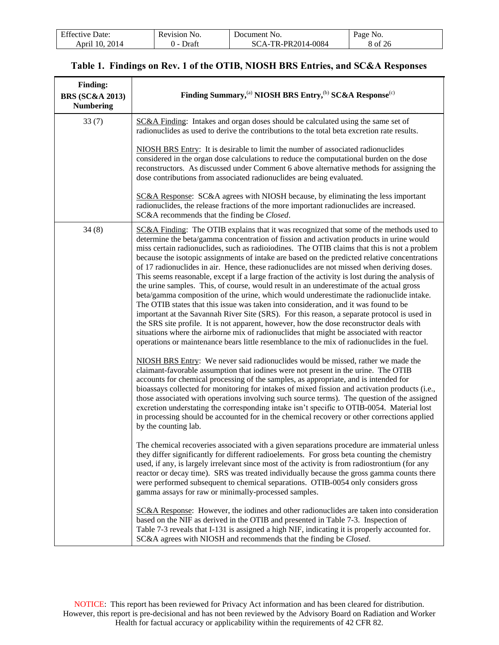| F C<br>Date:<br>Effective | <b>Revision</b><br>NO. | Jocument<br>NO.                         | age No. |
|---------------------------|------------------------|-----------------------------------------|---------|
| 2014<br>10<br>April       | Draf                   | PR2014-0084<br>TR <sub>-</sub><br>$A -$ | 8 of    |

| <b>Finding:</b><br><b>BRS (SC&amp;A 2013)</b><br><b>Numbering</b> | Finding Summary, <sup>(a)</sup> NIOSH BRS Entry, <sup>(b)</sup> SC&A Response <sup>(c)</sup>                                                                                                                                                                                                                                                                                                                                                                                                                                                                                                                                                                                                                                                                                                                                                                                                                                                                                                                                                                                                                                                                                                                                                                                                                                                                                                                                                                                                                                                                                                                                                                                                                                   |
|-------------------------------------------------------------------|--------------------------------------------------------------------------------------------------------------------------------------------------------------------------------------------------------------------------------------------------------------------------------------------------------------------------------------------------------------------------------------------------------------------------------------------------------------------------------------------------------------------------------------------------------------------------------------------------------------------------------------------------------------------------------------------------------------------------------------------------------------------------------------------------------------------------------------------------------------------------------------------------------------------------------------------------------------------------------------------------------------------------------------------------------------------------------------------------------------------------------------------------------------------------------------------------------------------------------------------------------------------------------------------------------------------------------------------------------------------------------------------------------------------------------------------------------------------------------------------------------------------------------------------------------------------------------------------------------------------------------------------------------------------------------------------------------------------------------|
| 33(7)                                                             | SC&A Finding: Intakes and organ doses should be calculated using the same set of<br>radionuclides as used to derive the contributions to the total beta excretion rate results.                                                                                                                                                                                                                                                                                                                                                                                                                                                                                                                                                                                                                                                                                                                                                                                                                                                                                                                                                                                                                                                                                                                                                                                                                                                                                                                                                                                                                                                                                                                                                |
|                                                                   | NIOSH BRS Entry: It is desirable to limit the number of associated radionuclides<br>considered in the organ dose calculations to reduce the computational burden on the dose<br>reconstructors. As discussed under Comment 6 above alternative methods for assigning the<br>dose contributions from associated radionuclides are being evaluated.                                                                                                                                                                                                                                                                                                                                                                                                                                                                                                                                                                                                                                                                                                                                                                                                                                                                                                                                                                                                                                                                                                                                                                                                                                                                                                                                                                              |
|                                                                   | SC&A Response: SC&A agrees with NIOSH because, by eliminating the less important<br>radionuclides, the release fractions of the more important radionuclides are increased.<br>SC&A recommends that the finding be Closed.                                                                                                                                                                                                                                                                                                                                                                                                                                                                                                                                                                                                                                                                                                                                                                                                                                                                                                                                                                                                                                                                                                                                                                                                                                                                                                                                                                                                                                                                                                     |
| 34(8)                                                             | SC&A Finding: The OTIB explains that it was recognized that some of the methods used to<br>determine the beta/gamma concentration of fission and activation products in urine would<br>miss certain radionuclides, such as radioiodines. The OTIB claims that this is not a problem<br>because the isotopic assignments of intake are based on the predicted relative concentrations<br>of 17 radionuclides in air. Hence, these radionuclides are not missed when deriving doses.<br>This seems reasonable, except if a large fraction of the activity is lost during the analysis of<br>the urine samples. This, of course, would result in an underestimate of the actual gross<br>beta/gamma composition of the urine, which would underestimate the radionuclide intake.<br>The OTIB states that this issue was taken into consideration, and it was found to be<br>important at the Savannah River Site (SRS). For this reason, a separate protocol is used in<br>the SRS site profile. It is not apparent, however, how the dose reconstructor deals with<br>situations where the airborne mix of radionuclides that might be associated with reactor<br>operations or maintenance bears little resemblance to the mix of radionuclides in the fuel.<br>NIOSH BRS Entry: We never said radionuclides would be missed, rather we made the<br>claimant-favorable assumption that iodines were not present in the urine. The OTIB<br>accounts for chemical processing of the samples, as appropriate, and is intended for<br>bioassays collected for monitoring for intakes of mixed fission and activation products (i.e.,<br>those associated with operations involving such source terms). The question of the assigned |
|                                                                   | excretion understating the corresponding intake isn't specific to OTIB-0054. Material lost<br>in processing should be accounted for in the chemical recovery or other corrections applied<br>by the counting lab.                                                                                                                                                                                                                                                                                                                                                                                                                                                                                                                                                                                                                                                                                                                                                                                                                                                                                                                                                                                                                                                                                                                                                                                                                                                                                                                                                                                                                                                                                                              |
|                                                                   | The chemical recoveries associated with a given separations procedure are immaterial unless<br>they differ significantly for different radioelements. For gross beta counting the chemistry<br>used, if any, is largely irrelevant since most of the activity is from radiostrontium (for any<br>reactor or decay time). SRS was treated individually because the gross gamma counts there<br>were performed subsequent to chemical separations. OTIB-0054 only considers gross<br>gamma assays for raw or minimally-processed samples.                                                                                                                                                                                                                                                                                                                                                                                                                                                                                                                                                                                                                                                                                                                                                                                                                                                                                                                                                                                                                                                                                                                                                                                        |
|                                                                   | SC&A Response: However, the iodines and other radionuclides are taken into consideration<br>based on the NIF as derived in the OTIB and presented in Table 7-3. Inspection of<br>Table 7-3 reveals that I-131 is assigned a high NIF, indicating it is properly accounted for.<br>SC&A agrees with NIOSH and recommends that the finding be Closed.                                                                                                                                                                                                                                                                                                                                                                                                                                                                                                                                                                                                                                                                                                                                                                                                                                                                                                                                                                                                                                                                                                                                                                                                                                                                                                                                                                            |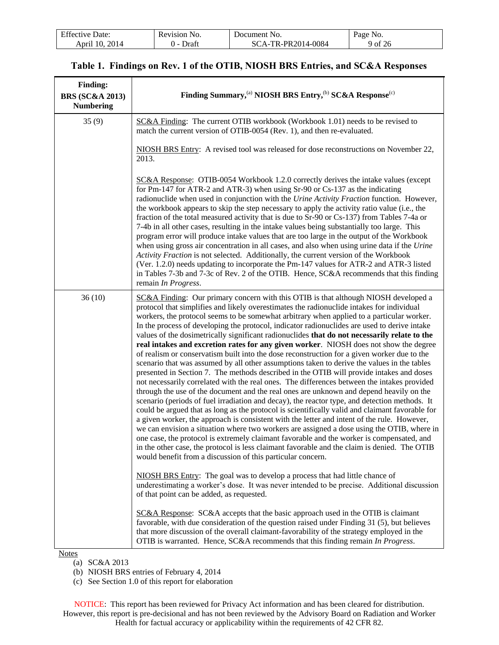| <b>Effective Date:</b>    | No.<br>Revision | NO.<br>Jocument              | Page No. |
|---------------------------|-----------------|------------------------------|----------|
| 2014<br>$10^{-}$<br>April | Draf            | TR-PR2014-0084<br>$\Delta$ - | 9 of 26  |

| <b>Finding:</b><br><b>BRS (SC&amp;A 2013)</b><br><b>Numbering</b> | Finding Summary, (a) NIOSH BRS Entry, (b) SC&A Response <sup>(c)</sup>                                                                                                                                                                                                                                                                                                                                                                                                                                                                                                                                                                                                                                                                                                                                                                                                                                                                                                                                                                                                                                                                                                                                                                                                                                                                                                                                                                                                                                                                                                                                                                                                                                                                                                                                                                                                                                                                              |
|-------------------------------------------------------------------|-----------------------------------------------------------------------------------------------------------------------------------------------------------------------------------------------------------------------------------------------------------------------------------------------------------------------------------------------------------------------------------------------------------------------------------------------------------------------------------------------------------------------------------------------------------------------------------------------------------------------------------------------------------------------------------------------------------------------------------------------------------------------------------------------------------------------------------------------------------------------------------------------------------------------------------------------------------------------------------------------------------------------------------------------------------------------------------------------------------------------------------------------------------------------------------------------------------------------------------------------------------------------------------------------------------------------------------------------------------------------------------------------------------------------------------------------------------------------------------------------------------------------------------------------------------------------------------------------------------------------------------------------------------------------------------------------------------------------------------------------------------------------------------------------------------------------------------------------------------------------------------------------------------------------------------------------------|
| 35(9)                                                             | SC&A Finding: The current OTIB workbook (Workbook 1.01) needs to be revised to<br>match the current version of OTIB-0054 (Rev. 1), and then re-evaluated.                                                                                                                                                                                                                                                                                                                                                                                                                                                                                                                                                                                                                                                                                                                                                                                                                                                                                                                                                                                                                                                                                                                                                                                                                                                                                                                                                                                                                                                                                                                                                                                                                                                                                                                                                                                           |
|                                                                   | NIOSH BRS Entry: A revised tool was released for dose reconstructions on November 22,<br>2013.                                                                                                                                                                                                                                                                                                                                                                                                                                                                                                                                                                                                                                                                                                                                                                                                                                                                                                                                                                                                                                                                                                                                                                                                                                                                                                                                                                                                                                                                                                                                                                                                                                                                                                                                                                                                                                                      |
|                                                                   | SC&A Response: OTIB-0054 Workbook 1.2.0 correctly derives the intake values (except<br>for Pm-147 for ATR-2 and ATR-3) when using Sr-90 or Cs-137 as the indicating<br>radionuclide when used in conjunction with the Urine Activity Fraction function. However,<br>the workbook appears to skip the step necessary to apply the activity ratio value (i.e., the<br>fraction of the total measured activity that is due to Sr-90 or Cs-137) from Tables 7-4a or<br>7-4b in all other cases, resulting in the intake values being substantially too large. This<br>program error will produce intake values that are too large in the output of the Workbook<br>when using gross air concentration in all cases, and also when using urine data if the Urine<br>Activity Fraction is not selected. Additionally, the current version of the Workbook<br>(Ver. 1.2.0) needs updating to incorporate the Pm-147 values for ATR-2 and ATR-3 listed<br>in Tables 7-3b and 7-3c of Rev. 2 of the OTIB. Hence, SC&A recommends that this finding<br>remain In Progress.                                                                                                                                                                                                                                                                                                                                                                                                                                                                                                                                                                                                                                                                                                                                                                                                                                                                                    |
| 36(10)                                                            | SC&A Finding: Our primary concern with this OTIB is that although NIOSH developed a<br>protocol that simplifies and likely overestimates the radionuclide intakes for individual<br>workers, the protocol seems to be somewhat arbitrary when applied to a particular worker.<br>In the process of developing the protocol, indicator radionuclides are used to derive intake<br>values of the dosimetrically significant radionuclides that do not necessarily relate to the<br>real intakes and excretion rates for any given worker. NIOSH does not show the degree<br>of realism or conservatism built into the dose reconstruction for a given worker due to the<br>scenario that was assumed by all other assumptions taken to derive the values in the tables<br>presented in Section 7. The methods described in the OTIB will provide intakes and doses<br>not necessarily correlated with the real ones. The differences between the intakes provided<br>through the use of the document and the real ones are unknown and depend heavily on the<br>scenario (periods of fuel irradiation and decay), the reactor type, and detection methods. It<br>could be argued that as long as the protocol is scientifically valid and claimant favorable for<br>a given worker, the approach is consistent with the letter and intent of the rule. However,<br>we can envision a situation where two workers are assigned a dose using the OTIB, where in<br>one case, the protocol is extremely claimant favorable and the worker is compensated, and<br>in the other case, the protocol is less claimant favorable and the claim is denied. The OTIB<br>would benefit from a discussion of this particular concern.<br>NIOSH BRS Entry: The goal was to develop a process that had little chance of<br>underestimating a worker's dose. It was never intended to be precise. Additional discussion<br>of that point can be added, as requested. |
| $N_{\alpha \tau \alpha \sigma}$                                   | SC&A Response: SC&A accepts that the basic approach used in the OTIB is claimant<br>favorable, with due consideration of the question raised under Finding 31 (5), but believes<br>that more discussion of the overall claimant-favorability of the strategy employed in the<br>OTIB is warranted. Hence, SC&A recommends that this finding remain In Progress.                                                                                                                                                                                                                                                                                                                                                                                                                                                                                                                                                                                                                                                                                                                                                                                                                                                                                                                                                                                                                                                                                                                                                                                                                                                                                                                                                                                                                                                                                                                                                                                     |

**Notes** 

(a) SC&A 2013

(c) See Section 1.0 of this report for elaboration

<sup>(</sup>b) NIOSH BRS entries of February 4, 2014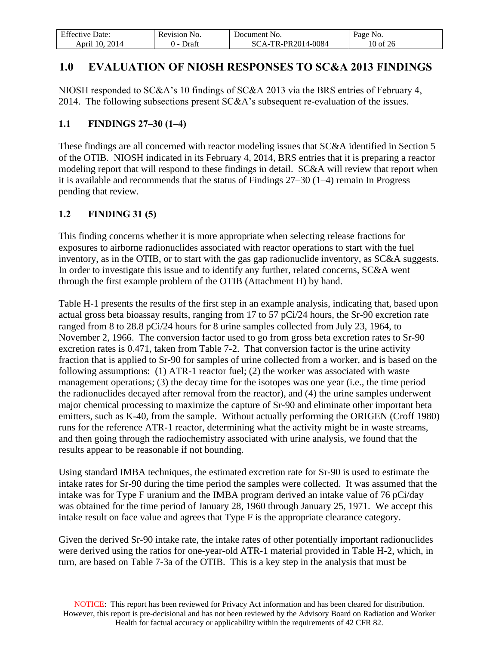| $\Gamma$ $\alpha$<br>Date:<br>Effective I | Revision.<br>NO. | NO.<br>Jocument     | Page<br>N <sub>O</sub> . |
|-------------------------------------------|------------------|---------------------|--------------------------|
| 2014<br>$10^{-}$<br>April                 | - Jraft          | -PR2014-0084<br>TD. | 10 of 26                 |

# <span id="page-9-0"></span>**1.0 EVALUATION OF NIOSH RESPONSES TO SC&A 2013 FINDINGS**

NIOSH responded to SC&A's 10 findings of SC&A 2013 via the BRS entries of February 4, 2014. The following subsections present SC&A's subsequent re-evaluation of the issues.

#### <span id="page-9-1"></span>**1.1 FINDINGS 27–30 (1–4)**

These findings are all concerned with reactor modeling issues that SC&A identified in Section 5 of the OTIB. NIOSH indicated in its February 4, 2014, BRS entries that it is preparing a reactor modeling report that will respond to these findings in detail. SC&A will review that report when it is available and recommends that the status of Findings 27–30 (1–4) remain In Progress pending that review.

#### <span id="page-9-2"></span>**1.2 FINDING 31 (5)**

This finding concerns whether it is more appropriate when selecting release fractions for exposures to airborne radionuclides associated with reactor operations to start with the fuel inventory, as in the OTIB, or to start with the gas gap radionuclide inventory, as SC&A suggests. In order to investigate this issue and to identify any further, related concerns, SC&A went through the first example problem of the OTIB (Attachment H) by hand.

Table H-1 presents the results of the first step in an example analysis, indicating that, based upon actual gross beta bioassay results, ranging from 17 to 57 pCi/24 hours, the Sr-90 excretion rate ranged from 8 to 28.8 pCi/24 hours for 8 urine samples collected from July 23, 1964, to November 2, 1966. The conversion factor used to go from gross beta excretion rates to Sr-90 excretion rates is 0.471, taken from Table 7-2. That conversion factor is the urine activity fraction that is applied to Sr-90 for samples of urine collected from a worker, and is based on the following assumptions: (1) ATR-1 reactor fuel; (2) the worker was associated with waste management operations; (3) the decay time for the isotopes was one year (i.e., the time period the radionuclides decayed after removal from the reactor), and (4) the urine samples underwent major chemical processing to maximize the capture of Sr-90 and eliminate other important beta emitters, such as K-40, from the sample. Without actually performing the ORIGEN (Croff 1980) runs for the reference ATR-1 reactor, determining what the activity might be in waste streams, and then going through the radiochemistry associated with urine analysis, we found that the results appear to be reasonable if not bounding.

Using standard IMBA techniques, the estimated excretion rate for Sr-90 is used to estimate the intake rates for Sr-90 during the time period the samples were collected. It was assumed that the intake was for Type F uranium and the IMBA program derived an intake value of 76 pCi/day was obtained for the time period of January 28, 1960 through January 25, 1971. We accept this intake result on face value and agrees that Type F is the appropriate clearance category.

Given the derived Sr-90 intake rate, the intake rates of other potentially important radionuclides were derived using the ratios for one-year-old ATR-1 material provided in Table H-2, which, in turn, are based on Table 7-3a of the OTIB. This is a key step in the analysis that must be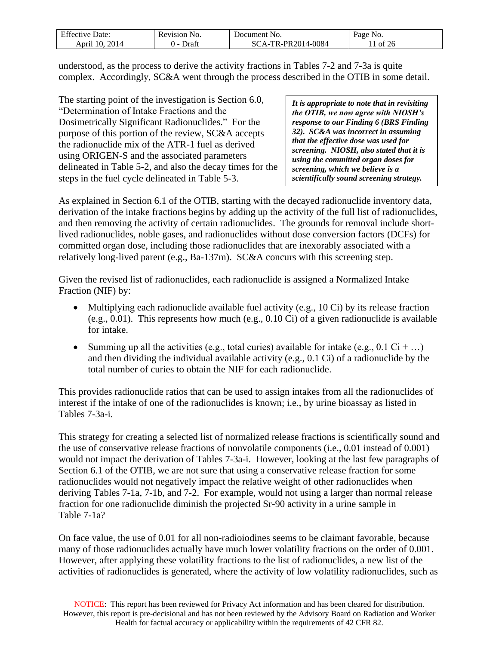| <b>Effective Date:</b> | Revision No. | Document No.       | Page No.  |
|------------------------|--------------|--------------------|-----------|
| 2014<br>April 10.      | Draft        | SCA-TR-PR2014-0084 | of<br>-2t |

understood, as the process to derive the activity fractions in Tables 7-2 and 7-3a is quite complex. Accordingly, SC&A went through the process described in the OTIB in some detail.

The starting point of the investigation is Section 6.0, "Determination of Intake Fractions and the Dosimetrically Significant Radionuclides." For the purpose of this portion of the review, SC&A accepts the radionuclide mix of the ATR-1 fuel as derived using ORIGEN-S and the associated parameters delineated in Table 5-2, and also the decay times for the steps in the fuel cycle delineated in Table 5-3.

*It is appropriate to note that in revisiting the OTIB, we now agree with NIOSH's response to our Finding 6 (BRS Finding 32). SC&A was incorrect in assuming that the effective dose was used for screening. NIOSH, also stated that it is using the committed organ doses for screening, which we believe is a scientifically sound screening strategy.*

As explained in Section 6.1 of the OTIB, starting with the decayed radionuclide inventory data, derivation of the intake fractions begins by adding up the activity of the full list of radionuclides, and then removing the activity of certain radionuclides. The grounds for removal include shortlived radionuclides, noble gases, and radionuclides without dose conversion factors (DCFs) for committed organ dose, including those radionuclides that are inexorably associated with a relatively long-lived parent (e.g., Ba-137m). SC&A concurs with this screening step.

Given the revised list of radionuclides, each radionuclide is assigned a Normalized Intake Fraction (NIF) by:

- Multiplying each radionuclide available fuel activity (e.g., 10 Ci) by its release fraction (e.g., 0.01). This represents how much (e.g., 0.10 Ci) of a given radionuclide is available for intake.
- Summing up all the activities (e.g., total curies) available for intake (e.g.,  $0.1 \text{ Ci} + ...$ ) and then dividing the individual available activity (e.g., 0.1 Ci) of a radionuclide by the total number of curies to obtain the NIF for each radionuclide.

This provides radionuclide ratios that can be used to assign intakes from all the radionuclides of interest if the intake of one of the radionuclides is known; i.e., by urine bioassay as listed in Tables 7-3a-i.

This strategy for creating a selected list of normalized release fractions is scientifically sound and the use of conservative release fractions of nonvolatile components (i.e., 0.01 instead of 0.001) would not impact the derivation of Tables 7-3a-i. However, looking at the last few paragraphs of Section 6.1 of the OTIB, we are not sure that using a conservative release fraction for some radionuclides would not negatively impact the relative weight of other radionuclides when deriving Tables 7-1a, 7-1b, and 7-2. For example, would not using a larger than normal release fraction for one radionuclide diminish the projected Sr-90 activity in a urine sample in Table 7-1a?

On face value, the use of 0.01 for all non-radioiodines seems to be claimant favorable, because many of those radionuclides actually have much lower volatility fractions on the order of 0.001. However, after applying these volatility fractions to the list of radionuclides, a new list of the activities of radionuclides is generated, where the activity of low volatility radionuclides, such as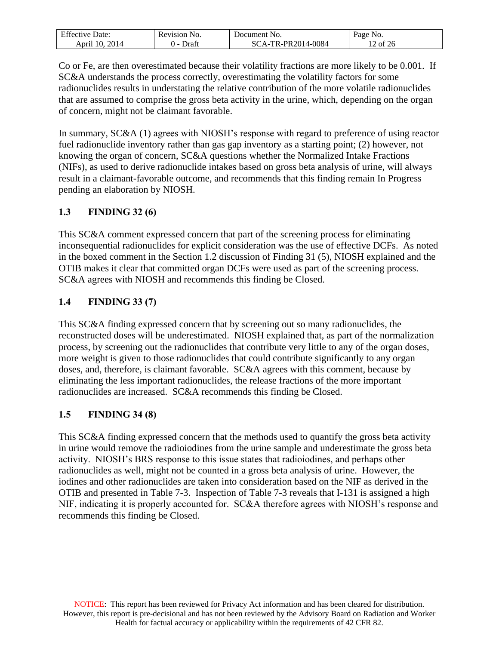| $\Gamma$ $\alpha$<br>Date:<br>Effective | evision!<br>NO. | Document<br>N <sub>O</sub> | age No.          |
|-----------------------------------------|-----------------|----------------------------|------------------|
| 2014<br>10<br>April                     | Jraf<br>. .     | -PR2014-0084<br>נוי        | $\%$ of 2 $\cup$ |

Co or Fe, are then overestimated because their volatility fractions are more likely to be 0.001. If SC&A understands the process correctly, overestimating the volatility factors for some radionuclides results in understating the relative contribution of the more volatile radionuclides that are assumed to comprise the gross beta activity in the urine, which, depending on the organ of concern, might not be claimant favorable.

In summary, SC&A (1) agrees with NIOSH's response with regard to preference of using reactor fuel radionuclide inventory rather than gas gap inventory as a starting point; (2) however, not knowing the organ of concern, SC&A questions whether the Normalized Intake Fractions (NIFs), as used to derive radionuclide intakes based on gross beta analysis of urine, will always result in a claimant-favorable outcome, and recommends that this finding remain In Progress pending an elaboration by NIOSH.

# <span id="page-11-0"></span>**1.3 FINDING 32 (6)**

This SC&A comment expressed concern that part of the screening process for eliminating inconsequential radionuclides for explicit consideration was the use of effective DCFs. As noted in the boxed comment in the Section 1.2 discussion of Finding 31 (5), NIOSH explained and the OTIB makes it clear that committed organ DCFs were used as part of the screening process. SC&A agrees with NIOSH and recommends this finding be Closed.

# <span id="page-11-1"></span>**1.4 FINDING 33 (7)**

This SC&A finding expressed concern that by screening out so many radionuclides, the reconstructed doses will be underestimated. NIOSH explained that, as part of the normalization process, by screening out the radionuclides that contribute very little to any of the organ doses, more weight is given to those radionuclides that could contribute significantly to any organ doses, and, therefore, is claimant favorable. SC&A agrees with this comment, because by eliminating the less important radionuclides, the release fractions of the more important radionuclides are increased. SC&A recommends this finding be Closed.

# <span id="page-11-2"></span>**1.5 FINDING 34 (8)**

This SC&A finding expressed concern that the methods used to quantify the gross beta activity in urine would remove the radioiodines from the urine sample and underestimate the gross beta activity. NIOSH's BRS response to this issue states that radioiodines, and perhaps other radionuclides as well, might not be counted in a gross beta analysis of urine. However, the iodines and other radionuclides are taken into consideration based on the NIF as derived in the OTIB and presented in Table 7-3. Inspection of Table 7-3 reveals that I-131 is assigned a high NIF, indicating it is properly accounted for. SC&A therefore agrees with NIOSH's response and recommends this finding be Closed.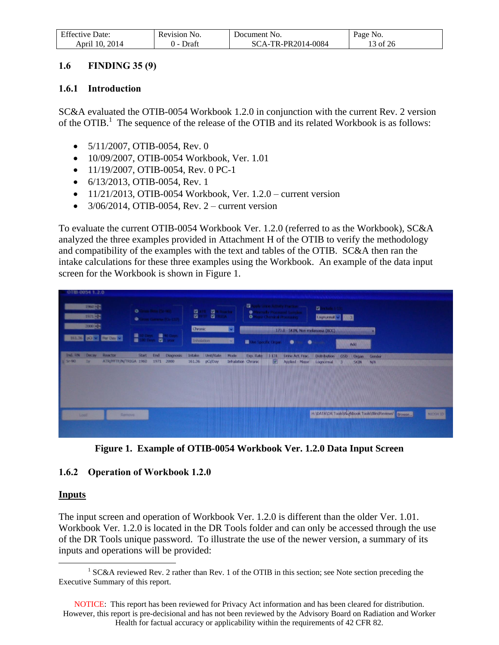| $F^{\alpha}$<br>Date:<br>Effective | Revision<br>NO. | Document :<br>INO.       | Page<br>NO.  |
|------------------------------------|-----------------|--------------------------|--------------|
| 2014<br>10<br>April                | Draft           | TR-PR2014-0084<br>`A - I | of 26<br>LJ. |

#### <span id="page-12-0"></span>**1.6 FINDING 35 (9)**

#### <span id="page-12-1"></span>**1.6.1 Introduction**

SC&A evaluated the OTIB-0054 Workbook 1.2.0 in conjunction with the current Rev. 2 version of the OTIB.<sup>1</sup> The sequence of the release of the OTIB and its related Workbook is as follows:

- $\bullet$  5/11/2007, OTIB-0054, Rev. 0
- 10/09/2007, OTIB-0054 Workbook, Ver. 1.01
- $\bullet$  11/19/2007, OTIB-0054, Rev. 0 PC-1
- $\bullet$  6/13/2013, OTIB-0054, Rev. 1
- $\bullet$  11/21/2013, OTIB-0054 Workbook, Ver. 1.2.0 current version
- $\bullet$  3/06/2014, OTIB-0054, Rev. 2 current version

To evaluate the current OTIB-0054 Workbook Ver. 1.2.0 (referred to as the Workbook), SC&A analyzed the three examples provided in Attachment H of the OTIB to verify the methodology and compatibility of the examples with the text and tables of the OTIB. SC&A then ran the intake calculations for these three examples using the Workbook. An example of the data input screen for the Workbook is shown in Figure 1.



**Figure 1. Example of OTIB-0054 Workbook Ver. 1.2.0 Data Input Screen**

#### <span id="page-12-2"></span>**1.6.2 Operation of Workbook 1.2.0**

#### **Inputs**

 $\overline{a}$ 

The input screen and operation of Workbook Ver. 1.2.0 is different than the older Ver. 1.01. Workbook Ver. 1.2.0 is located in the DR Tools folder and can only be accessed through the use of the DR Tools unique password. To illustrate the use of the newer version, a summary of its inputs and operations will be provided:

<sup>&</sup>lt;sup>1</sup> SC&A reviewed Rev. 2 rather than Rev. 1 of the OTIB in this section; see Note section preceding the Executive Summary of this report.

NOTICE: This report has been reviewed for Privacy Act information and has been cleared for distribution. However, this report is pre-decisional and has not been reviewed by the Advisory Board on Radiation and Worker Health for factual accuracy or applicability within the requirements of 42 CFR 82.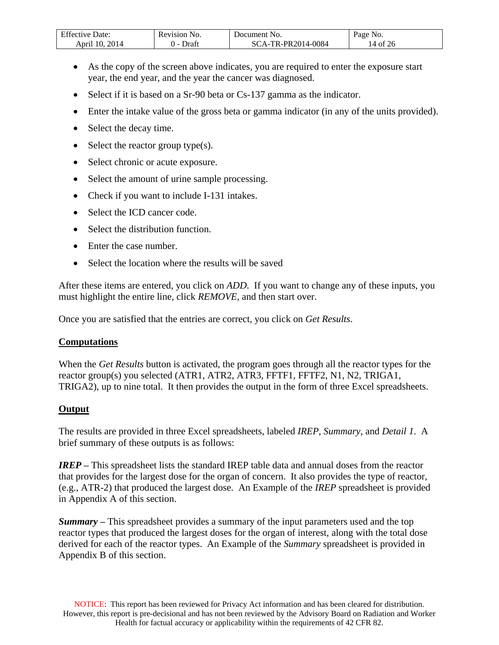| Effective Date:   | Revision No.    | Document No.       | Page No. |
|-------------------|-----------------|--------------------|----------|
| 2014<br>April 10. | Draft<br>$\sim$ | SCA-TR-PR2014-0084 | 14 of 26 |

- As the copy of the screen above indicates, you are required to enter the exposure start year, the end year, and the year the cancer was diagnosed.
- Select if it is based on a Sr-90 beta or Cs-137 gamma as the indicator.
- Enter the intake value of the gross beta or gamma indicator (in any of the units provided).
- Select the decay time.
- $\bullet$  Select the reactor group type(s).
- Select chronic or acute exposure.
- Select the amount of urine sample processing.
- Check if you want to include I-131 intakes.
- Select the ICD cancer code.
- Select the distribution function.
- Enter the case number.
- Select the location where the results will be saved

After these items are entered, you click on *ADD*. If you want to change any of these inputs, you must highlight the entire line, click *REMOVE*, and then start over.

Once you are satisfied that the entries are correct, you click on *Get Results*.

#### **Computations**

When the *Get Results* button is activated, the program goes through all the reactor types for the reactor group(s) you selected (ATR1, ATR2, ATR3, FFTF1, FFTF2, N1, N2, TRIGA1, TRIGA2), up to nine total. It then provides the output in the form of three Excel spreadsheets.

#### **Output**

The results are provided in three Excel spreadsheets, labeled *IREP, Summary*, and *Detail 1*. A brief summary of these outputs is as follows:

*IREP* – This spreadsheet lists the standard IREP table data and annual doses from the reactor that provides for the largest dose for the organ of concern. It also provides the type of reactor, (e.g., ATR-2) that produced the largest dose. An Example of the *IREP* spreadsheet is provided in Appendix A of this section.

*Summary* **–** This spreadsheet provides a summary of the input parameters used and the top reactor types that produced the largest doses for the organ of interest, along with the total dose derived for each of the reactor types. An Example of the *Summary* spreadsheet is provided in Appendix B of this section.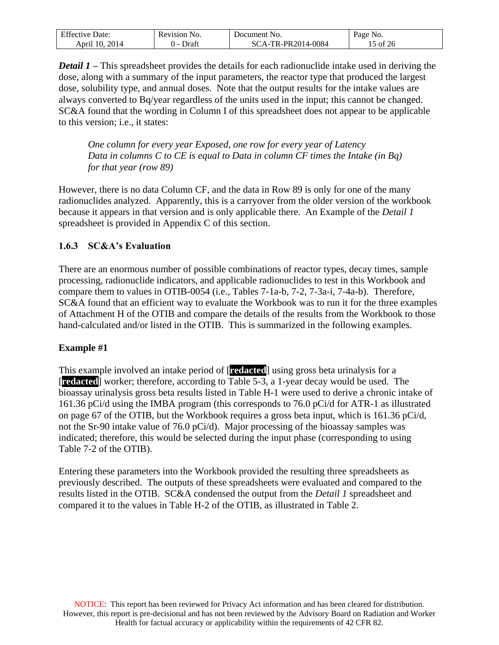| <b>Effective Date:</b> | Revision No. | Document No.      | Page No. |
|------------------------|--------------|-------------------|----------|
| 2014<br>April 10.      | Draf<br>.    | CA-TR-PR2014-0084 | 15 of 26 |

*Detail 1* **–** This spreadsheet provides the details for each radionuclide intake used in deriving the dose, along with a summary of the input parameters, the reactor type that produced the largest dose, solubility type, and annual doses. Note that the output results for the intake values are always converted to Bq/year regardless of the units used in the input; this cannot be changed. SC&A found that the wording in Column I of this spreadsheet does not appear to be applicable to this version; i.e., it states:

*One column for every year Exposed, one row for every year of Latency Data in columns C to CE is equal to Data in column CF times the Intake (in Bq) for that year (row 89)* 

However, there is no data Column CF, and the data in Row 89 is only for one of the many radionuclides analyzed. Apparently, this is a carryover from the older version of the workbook because it appears in that version and is only applicable there. An Example of the *Detail 1* spreadsheet is provided in Appendix C of this section.

#### <span id="page-14-0"></span>**1.6.3 SC&A's Evaluation**

There are an enormous number of possible combinations of reactor types, decay times, sample processing, radionuclide indicators, and applicable radionuclides to test in this Workbook and compare them to values in OTIB-0054 (i.e., Tables 7-1a-b, 7-2, 7-3a-i, 7-4a-b). Therefore, SC&A found that an efficient way to evaluate the Workbook was to run it for the three examples of Attachment H of the OTIB and compare the details of the results from the Workbook to those hand-calculated and/or listed in the OTIB. This is summarized in the following examples.

#### **Example #1**

This example involved an intake period of [**redacted**] using gross beta urinalysis for a [**redacted**] worker; therefore, according to Table 5-3, a 1-year decay would be used. The bioassay urinalysis gross beta results listed in Table H-1 were used to derive a chronic intake of 161.36 pCi/d using the IMBA program (this corresponds to 76.0 pCi/d for ATR-1 as illustrated on page 67 of the OTIB, but the Workbook requires a gross beta input, which is 161.36 pCi/d, not the Sr-90 intake value of 76.0 pCi/d). Major processing of the bioassay samples was indicated; therefore, this would be selected during the input phase (corresponding to using Table 7-2 of the OTIB).

Entering these parameters into the Workbook provided the resulting three spreadsheets as previously described. The outputs of these spreadsheets were evaluated and compared to the results listed in the OTIB. SC&A condensed the output from the *Detail 1* spreadsheet and compared it to the values in Table H-2 of the OTIB, as illustrated in Table 2.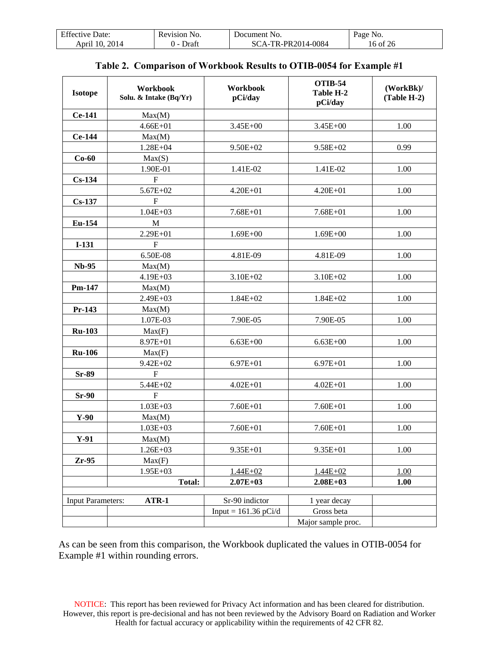| Date <sup>-</sup> | N <sub>O</sub> | Jocument                                       | No.         |
|-------------------|----------------|------------------------------------------------|-------------|
| Effective I       | 'evision       | - No.                                          | 'age        |
| 2014<br>April     | )rai           | $-PR2014-0084$<br>TD.<br>$^{\circ}$ $\Delta$ - | .6 of<br>26 |

<span id="page-15-0"></span>

| <b>Isotope</b>           | Workbook<br>Solu. & Intake (Bq/Yr) | Workbook<br>pCi/day    | <b>OTIB-54</b><br>Table H-2<br>pCi/day | (WorkBk)<br>(Table H-2) |
|--------------------------|------------------------------------|------------------------|----------------------------------------|-------------------------|
| Ce-141                   | Max(M)                             |                        |                                        |                         |
|                          | $4.66E + 01$                       | $3.45E + 00$           | $3.45E + 00$                           | 1.00                    |
| Ce-144                   | Max(M)                             |                        |                                        |                         |
|                          | $1.28E + 04$                       | $9.50E + 02$           | $9.58E + 02$                           | 0.99                    |
| $Co-60$                  | Max(S)                             |                        |                                        |                         |
|                          | 1.90E-01                           | 1.41E-02               | 1.41E-02                               | 1.00                    |
| $Cs-134$                 | $\mathbf{F}$                       |                        |                                        |                         |
|                          | $5.67E + 02$                       | $4.20E + 01$           | $4.20E + 01$                           | 1.00                    |
| $Cs-137$                 | F                                  |                        |                                        |                         |
|                          | $1.04E + 03$                       | $7.68E + 01$           | $7.68E + 01$                           | 1.00                    |
| Eu-154                   | M                                  |                        |                                        |                         |
|                          | 2.29E+01                           | $1.69E + 00$           | $1.69E + 00$                           | 1.00                    |
| $I-131$                  | $\mathbf F$                        |                        |                                        |                         |
|                          | 6.50E-08                           | 4.81E-09               | 4.81E-09                               | 1.00                    |
| <b>Nb-95</b>             | Max(M)                             |                        |                                        |                         |
|                          | 4.19E+03                           | $3.10E + 02$           | $3.10E + 02$                           | 1.00                    |
| Pm-147                   | Max(M)                             |                        |                                        |                         |
|                          | $2.49E + 03$                       | $1.84E + 02$           | $1.84E + 02$                           | 1.00                    |
| Pr-143                   | Max(M)                             |                        |                                        |                         |
|                          | 1.07E-03                           | 7.90E-05               | 7.90E-05                               | 1.00                    |
| <b>Ru-103</b>            | Max(F)                             |                        |                                        |                         |
|                          | $8.97E + 01$                       | $6.63E + 00$           | $6.63E + 00$                           | 1.00                    |
| <b>Ru-106</b>            | Max(F)                             |                        |                                        |                         |
|                          | $9.42E + 02$                       | $6.97E + 01$           | $6.97E + 01$                           | 1.00                    |
| <b>Sr-89</b>             | $\mathbf{F}$                       |                        |                                        |                         |
|                          | 5.44E+02                           | $4.02E + 01$           | $4.02E + 01$                           | 1.00                    |
| <b>Sr-90</b>             | $\mathbf F$                        |                        |                                        |                         |
|                          | $1.03E + 03$                       | $7.60E + 01$           | $7.60E + 01$                           | 1.00                    |
| $Y-90$                   | Max(M)                             |                        |                                        |                         |
|                          | $1.03E + 03$                       | $7.60E + 01$           | $7.60E + 01$                           | 1.00                    |
| $Y-91$                   | Max(M)                             |                        |                                        |                         |
|                          | $1.26E + 03$                       | 9.35E+01               | 9.35E+01                               | 1.00                    |
| $Zr-95$                  | Max(F)                             |                        |                                        |                         |
|                          | $1.95E + 03$                       | $1.44E + 02$           | $1.44E + 02$                           | 1.00                    |
|                          | <b>Total:</b>                      | $2.07E+03$             | $2.08E + 03$                           | 1.00                    |
|                          |                                    |                        |                                        |                         |
| <b>Input Parameters:</b> | ATR-1                              | Sr-90 indictor         | 1 year decay                           |                         |
|                          |                                    | Input = $161.36$ pCi/d | Gross beta                             |                         |
|                          |                                    |                        | Major sample proc.                     |                         |

### **Table 2. Comparison of Workbook Results to OTIB-0054 for Example #1**

As can be seen from this comparison, the Workbook duplicated the values in OTIB-0054 for Example #1 within rounding errors.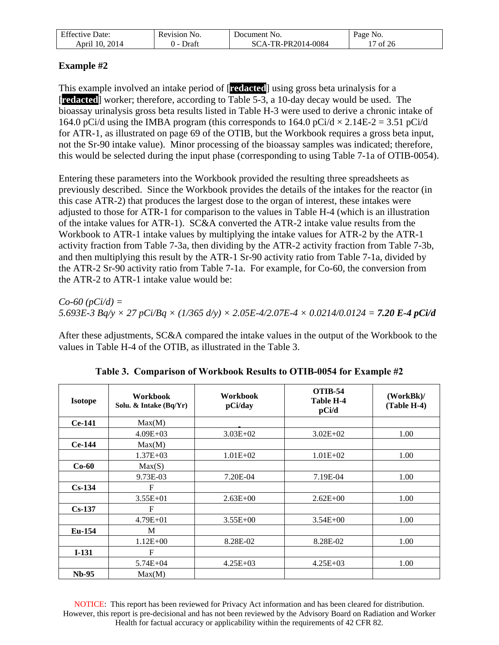| <b>Effective Date:</b> | Revision No. | Document No.                       | Page No. |
|------------------------|--------------|------------------------------------|----------|
| 2014<br>10<br>April    | Draf         | $-TR-PR2014-0084$<br>SC<br>$A_{-}$ | of 26    |

# **Example #2**

This example involved an intake period of [**redacted**] using gross beta urinalysis for a [**redacted**] worker; therefore, according to Table 5-3, a 10-day decay would be used. The bioassay urinalysis gross beta results listed in Table H-3 were used to derive a chronic intake of 164.0 pCi/d using the IMBA program (this corresponds to 164.0 pCi/d  $\times$  2.14E-2 = 3.51 pCi/d for ATR-1, as illustrated on page 69 of the OTIB, but the Workbook requires a gross beta input, not the Sr-90 intake value). Minor processing of the bioassay samples was indicated; therefore, this would be selected during the input phase (corresponding to using Table 7-1a of OTIB-0054).

Entering these parameters into the Workbook provided the resulting three spreadsheets as previously described. Since the Workbook provides the details of the intakes for the reactor (in this case ATR-2) that produces the largest dose to the organ of interest, these intakes were adjusted to those for ATR-1 for comparison to the values in Table H-4 (which is an illustration of the intake values for ATR-1). SC&A converted the ATR-2 intake value results from the Workbook to ATR-1 intake values by multiplying the intake values for ATR-2 by the ATR-1 activity fraction from Table 7-3a, then dividing by the ATR-2 activity fraction from Table 7-3b, and then multiplying this result by the ATR-1 Sr-90 activity ratio from Table 7-1a, divided by the ATR-2 Sr-90 activity ratio from Table 7-1a. For example, for Co-60, the conversion from the ATR-2 to ATR-1 intake value would be:

*Co-60 (pCi/d) = 5.693E-3 Bq/y × 27 pCi/Bq × (1/365 d/y) × 2.05E-4/2.07E-4 × 0.0214/0.0124 = 7.20 E-4 pCi/d*

After these adjustments, SC&A compared the intake values in the output of the Workbook to the values in Table H-4 of the OTIB, as illustrated in the Table 3.

<span id="page-16-0"></span>

| <b>Isotope</b> | <b>Workbook</b><br>Solu. & Intake (Bq/Yr) | <b>Workbook</b><br>pCi/day | <b>OTIB-54</b><br><b>Table H-4</b><br>pCi/d | (WorkBk)<br>(Table H-4) |
|----------------|-------------------------------------------|----------------------------|---------------------------------------------|-------------------------|
| $Ce-141$       | Max(M)                                    |                            |                                             |                         |
|                | $4.09E + 03$                              | $3.03E + 02$               | $3.02E + 02$                                | 1.00                    |
| $Ce-144$       | Max(M)                                    |                            |                                             |                         |
|                | $1.37E + 03$                              | $1.01E + 02$               | $1.01E + 02$                                | 1.00                    |
| $Co-60$        | Max(S)                                    |                            |                                             |                         |
|                | 9.73E-03                                  | 7.20E-04                   | 7.19E-04                                    | 1.00                    |
| $Cs-134$       | $F_{\rm}$                                 |                            |                                             |                         |
|                | $3.55E+01$                                | $2.63E + 00$               | $2.62E + 00$                                | 1.00                    |
| $Cs-137$       | $\mathbf{F}$                              |                            |                                             |                         |
|                | $4.79E + 01$                              | $3.55E+00$                 | $3.54E + 00$                                | 1.00                    |
| Eu-154         | M                                         |                            |                                             |                         |
|                | $1.12E + 00$                              | 8.28E-02                   | 8.28E-02                                    | 1.00                    |
| $I-131$        | $\mathbf F$                               |                            |                                             |                         |
|                | $5.74E + 04$                              | $4.25E + 03$               | $4.25E + 03$                                | 1.00                    |
| $Nb-95$        | Max(M)                                    |                            |                                             |                         |

**Table 3. Comparison of Workbook Results to OTIB-0054 for Example #2**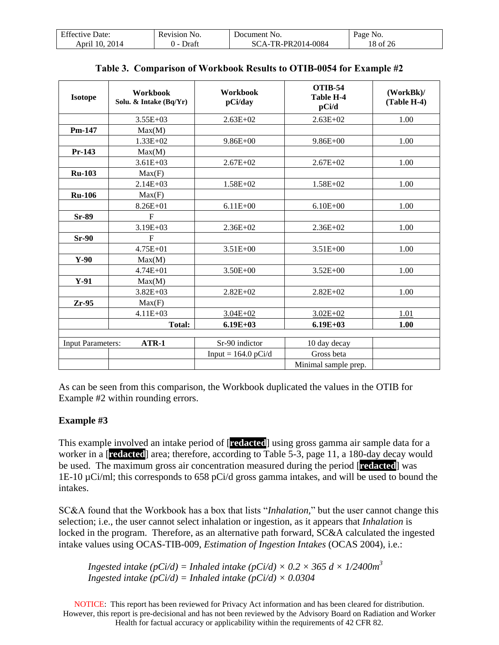| Effective Date:   | evision)<br>NO. | . Jocument<br>-No                                         | yage No. |
|-------------------|-----------------|-----------------------------------------------------------|----------|
| 2014<br>April 10. | Draf            | TR-PR2014-0084<br>SC.<br>$^{\circ}$ $\Delta$ $\mathbf{-}$ | 8 of     |

| <b>Isotope</b>           | Workbook<br>Solu. & Intake (Bq/Yr) | Workbook<br>pCi/day   | <b>OTIB-54</b><br><b>Table H-4</b><br>pCi/d | (WorkBk)<br>(Table H-4) |
|--------------------------|------------------------------------|-----------------------|---------------------------------------------|-------------------------|
|                          | $3.55E+03$                         | $2.63E+02$            | $2.63E+02$                                  | 1.00                    |
| Pm-147                   | Max(M)                             |                       |                                             |                         |
|                          | $1.33E+02$                         | $9.86E + 00$          | $9.86E + 00$                                | 1.00                    |
| $Pr-143$                 | Max(M)                             |                       |                                             |                         |
|                          | $3.61E + 03$                       | $2.67E+02$            | $2.67E + 02$                                | 1.00                    |
| <b>Ru-103</b>            | Max(F)                             |                       |                                             |                         |
|                          | $2.14E + 03$                       | $1.58E + 02$          | $1.58E + 02$                                | 1.00                    |
| <b>Ru-106</b>            | Max(F)                             |                       |                                             |                         |
|                          | $8.26E + 01$                       | $6.11E + 00$          | $6.10E + 00$                                | 1.00                    |
| Sr-89                    | $F_{\rm}$                          |                       |                                             |                         |
|                          | 3.19E+03                           | $2.36E+02$            | $2.36E + 02$                                | 1.00                    |
| $Sr-90$                  | $_{\rm F}$                         |                       |                                             |                         |
|                          | $4.75E + 01$                       | $3.51E + 00$          | $3.51E + 00$                                | 1.00                    |
| $Y-90$                   | Max(M)                             |                       |                                             |                         |
|                          | $4.74E + 01$                       | $3.50E + 00$          | $3.52E + 00$                                | 1.00                    |
| $Y-91$                   | Max(M)                             |                       |                                             |                         |
|                          | $3.82E + 03$                       | $2.82E+02$            | $2.82E+02$                                  | 1.00                    |
| $Zr-95$                  | Max(F)                             |                       |                                             |                         |
|                          | $4.11E + 03$                       | $3.04E + 02$          | $3.02E + 02$                                | 1.01                    |
|                          | <b>Total:</b>                      | $6.19E+03$            | $6.19E+03$                                  | 1.00                    |
|                          |                                    |                       |                                             |                         |
| <b>Input Parameters:</b> | $ATR-1$                            | Sr-90 indictor        | 10 day decay                                |                         |
|                          |                                    | Input = $164.0$ pCi/d | Gross beta                                  |                         |
|                          |                                    |                       | Minimal sample prep.                        |                         |

|  |  | Table 3. Comparison of Workbook Results to OTIB-0054 for Example #2 |  |
|--|--|---------------------------------------------------------------------|--|
|  |  |                                                                     |  |

As can be seen from this comparison, the Workbook duplicated the values in the OTIB for Example #2 within rounding errors.

#### **Example #3**

This example involved an intake period of [**redacted**] using gross gamma air sample data for a worker in a [**redacted**] area; therefore, according to Table 5-3, page 11, a 180-day decay would be used. The maximum gross air concentration measured during the period [**redacted**] was 1E-10 µCi/ml; this corresponds to 658 pCi/d gross gamma intakes, and will be used to bound the intakes.

SC&A found that the Workbook has a box that lists "*Inhalation,*" but the user cannot change this selection; i.e., the user cannot select inhalation or ingestion, as it appears that *Inhalation* is locked in the program. Therefore, as an alternative path forward, SC&A calculated the ingested intake values using OCAS-TIB-009, *Estimation of Ingestion Intakes* (OCAS 2004), i.e.:

*Ingested intake (pCi/d)* = *Inhaled intake (pCi/d)*  $\times$  0.2  $\times$  365 d  $\times$  1/2400m<sup>3</sup> *Ingested intake (pCi/d)* = *Inhaled intake (pCi/d)*  $\times$  0.0304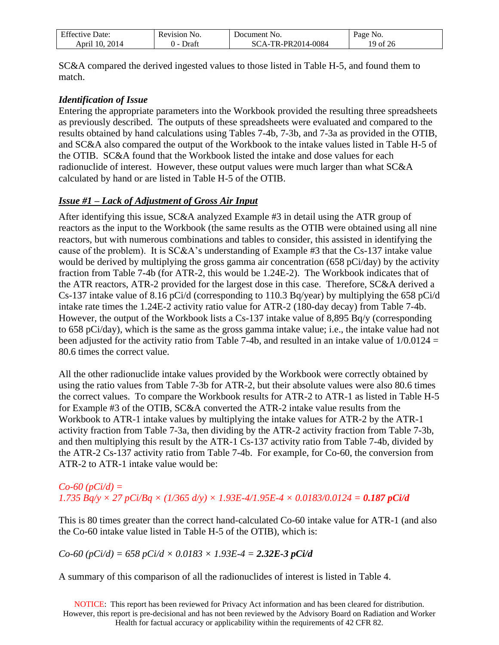| $\Gamma$ $\alpha$<br>Jate:<br>$\n  U$<br>. | evision!<br>NO.<br>. | Jocument<br>NO.        | a o e<br>'NO.  |
|--------------------------------------------|----------------------|------------------------|----------------|
| 2014<br>$\left($<br>Anri                   | )rat⊺                | 14-0084<br>טנו<br>. н. | $\Omega$<br>ZU |

SC&A compared the derived ingested values to those listed in Table H-5, and found them to match.

#### *Identification of Issue*

Entering the appropriate parameters into the Workbook provided the resulting three spreadsheets as previously described. The outputs of these spreadsheets were evaluated and compared to the results obtained by hand calculations using Tables 7-4b, 7-3b, and 7-3a as provided in the OTIB, and SC&A also compared the output of the Workbook to the intake values listed in Table H-5 of the OTIB. SC&A found that the Workbook listed the intake and dose values for each radionuclide of interest. However, these output values were much larger than what SC&A calculated by hand or are listed in Table H-5 of the OTIB.

#### *Issue #1 – Lack of Adjustment of Gross Air Input*

After identifying this issue, SC&A analyzed Example #3 in detail using the ATR group of reactors as the input to the Workbook (the same results as the OTIB were obtained using all nine reactors, but with numerous combinations and tables to consider, this assisted in identifying the cause of the problem). It is SC&A's understanding of Example #3 that the Cs-137 intake value would be derived by multiplying the gross gamma air concentration (658 pCi/day) by the activity fraction from Table 7-4b (for ATR-2, this would be 1.24E-2). The Workbook indicates that of the ATR reactors, ATR-2 provided for the largest dose in this case. Therefore, SC&A derived a Cs-137 intake value of 8.16 pCi/d (corresponding to 110.3 Bq/year) by multiplying the 658 pCi/d intake rate times the 1.24E-2 activity ratio value for ATR-2 (180-day decay) from Table 7-4b. However, the output of the Workbook lists a Cs-137 intake value of 8,895 Bq/y (corresponding to 658 pCi/day), which is the same as the gross gamma intake value; i.e., the intake value had not been adjusted for the activity ratio from Table 7-4b, and resulted in an intake value of  $1/0.0124 =$ 80.6 times the correct value.

All the other radionuclide intake values provided by the Workbook were correctly obtained by using the ratio values from Table 7-3b for ATR-2, but their absolute values were also 80.6 times the correct values. To compare the Workbook results for ATR-2 to ATR-1 as listed in Table H-5 for Example #3 of the OTIB, SC&A converted the ATR-2 intake value results from the Workbook to ATR-1 intake values by multiplying the intake values for ATR-2 by the ATR-1 activity fraction from Table 7-3a, then dividing by the ATR-2 activity fraction from Table 7-3b, and then multiplying this result by the ATR-1 Cs-137 activity ratio from Table 7-4b, divided by the ATR-2 Cs-137 activity ratio from Table 7-4b. For example, for Co-60, the conversion from ATR-2 to ATR-1 intake value would be:

### *Co-60 (pCi/d) =*   $1.735 Bq/v \times 27 pCi/Bq \times (1/365 d/v) \times 1.93E-4/1.95E-4 \times 0.0183/0.0124 = 0.187 pCi/d$

This is 80 times greater than the correct hand-calculated Co-60 intake value for ATR-1 (and also the Co-60 intake value listed in Table H-5 of the OTIB), which is:

#### $Co-60$  ( $pCi/d$ ) = 658  $pCi/d \times 0.0183 \times 1.93E-4 = 2.32E-3$   $pCi/d$

A summary of this comparison of all the radionuclides of interest is listed in Table 4.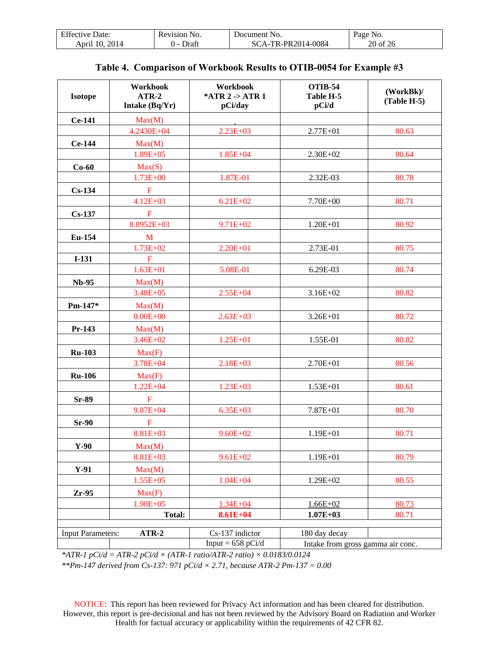| Effective Date:   | Revision<br>No. | Document No.       | Page No. |
|-------------------|-----------------|--------------------|----------|
| 2014<br>April 10. | Draf            | SCA-TR-PR2014-0084 | 20 of 26 |

<span id="page-19-0"></span>

| <b>Isotope</b>           | Workbook<br>$ATR-2$<br>Intake (Bq/Yr) | Workbook<br>*ATR 2 -> ATR 1<br>pCi/day | <b>OTIB-54</b><br>Table H-5<br>pCi/d | (WorkBk)<br>$(Table H-5)$ |
|--------------------------|---------------------------------------|----------------------------------------|--------------------------------------|---------------------------|
| Ce-141                   | Max(M)                                |                                        |                                      |                           |
|                          | 4.2430E+04                            | $2.23E+03$                             | $2.77E + 01$                         | 80.63                     |
| <b>Ce-144</b>            | Max(M)                                |                                        |                                      |                           |
|                          | $1.89E + 05$                          | $1.85E + 04$                           | $2.30E + 02$                         | 80.64                     |
| $Co-60$                  | Max(S)                                |                                        |                                      |                           |
|                          | $1.73E + 00$                          | 1.87E-01                               | 2.32E-03                             | 80.78                     |
| $Cs-134$                 | $\mathbf{F}$                          |                                        |                                      |                           |
|                          | $4.12E + 03$                          | $6.21E + 02$                           | 7.70E+00                             | 80.71                     |
| $Cs-137$                 | ${\bf F}$                             |                                        |                                      |                           |
|                          | 8.8952E+03                            | $9.71E + 02$                           | $1.20E + 01$                         | 80.92                     |
| Eu-154                   | M                                     |                                        |                                      |                           |
|                          | $1.73E + 02$                          | $2.20E + 01$                           | 2.73E-01                             | 80.75                     |
| $I-131$                  | $\mathbf F$                           |                                        |                                      |                           |
|                          | $1.63E + 01$                          | 5.08E-01                               | 6.29E-03                             | 80.74                     |
| <b>Nb-95</b>             | Max(M)                                |                                        |                                      |                           |
|                          | $3.48E + 05$                          | $2.55E + 04$                           | $3.16E + 02$                         | 80.82                     |
| Pm-147*                  | Max(M)                                |                                        |                                      |                           |
|                          | $0.00E + 00$                          | $2.63E + 03$                           | $3.26E + 01$                         | 80.72                     |
| Pr-143                   | Max(M)                                |                                        |                                      |                           |
|                          | $3.46E + 02$                          | $1.25E + 01$                           | 1.55E-01                             | 80.82                     |
| <b>Ru-103</b>            | Max(F)                                |                                        |                                      |                           |
|                          | $3.78E + 04$                          | $2.18E + 03$                           | $2.70E + 01$                         | 80.56                     |
| <b>Ru-106</b>            | Max(F)                                |                                        |                                      |                           |
|                          | $1.22E + 04$                          | $1.23E + 03$                           | $1.53E + 01$                         | 80.61                     |
| Sr-89                    | $\mathbf F$                           |                                        |                                      |                           |
|                          | $9.87E + 04$                          | $6.35E + 03$                           | 7.87E+01                             | 80.70                     |
| $Sr-90$                  | $\mathbf F$                           |                                        |                                      |                           |
|                          | 8.81E+03                              | $9.60E + 02$                           | $1.19E + 01$                         | 80.71                     |
| $Y-90$                   | Max(M)                                |                                        |                                      |                           |
|                          | 8.81E+03                              | $9.61E + 02$                           | 1.19E+01                             | 80.79                     |
| $Y-91$                   | Max(M)                                |                                        |                                      |                           |
|                          | 1.55E+05                              | $1.04E + 04$                           | 1.29E+02                             | 80.55                     |
| $Zr-95$                  | Max(F)                                |                                        |                                      |                           |
|                          | $1.90E + 05$                          | $1.34E + 04$                           | $1.66E + 02$                         | 80.73                     |
|                          | <b>Total:</b>                         | $8.61E + 04$                           | $1.07E + 03$                         | 80.71                     |
|                          |                                       |                                        |                                      |                           |
| <b>Input Parameters:</b> | $ATR-2$                               | Cs-137 indictor                        | 180 day decay                        |                           |
|                          |                                       | Input = $658$ pCi/d                    | Intake from gross gamma air conc.    |                           |

|  |  |  |  | Table 4. Comparison of Workbook Results to OTIB-0054 for Example #3 |  |
|--|--|--|--|---------------------------------------------------------------------|--|
|--|--|--|--|---------------------------------------------------------------------|--|

*\*ATR-1 pCi/d = ATR-2 pCi/d × (ATR-1 ratio/ATR-2 ratio) × 0.0183/0.0124*

*\*\*Pm-147 derived from Cs-137: 971 pCi/d × 2.71, because ATR-2 Pm-137 = 0.00*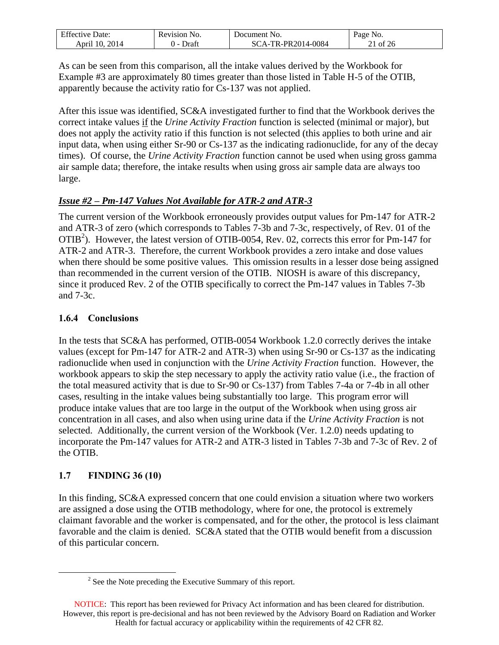| $\Gamma$ $\alpha$<br>Effective Date: | Revision No. | Document No.                                       | Page No. |
|--------------------------------------|--------------|----------------------------------------------------|----------|
| 2014<br>-10<br>April                 | ⊅ratt<br>. . | TR-PR2014-0084<br>$^{\circ}$ $\Delta$ $\sim$<br>80 | ΟĪ       |

As can be seen from this comparison, all the intake values derived by the Workbook for Example #3 are approximately 80 times greater than those listed in Table H-5 of the OTIB, apparently because the activity ratio for Cs-137 was not applied.

After this issue was identified, SC&A investigated further to find that the Workbook derives the correct intake values if the *Urine Activity Fraction* function is selected (minimal or major), but does not apply the activity ratio if this function is not selected (this applies to both urine and air input data, when using either Sr-90 or Cs-137 as the indicating radionuclide, for any of the decay times). Of course, the *Urine Activity Fraction* function cannot be used when using gross gamma air sample data; therefore, the intake results when using gross air sample data are always too large.

### *Issue #2 – Pm-147 Values Not Available for ATR-2 and ATR-3*

The current version of the Workbook erroneously provides output values for Pm-147 for ATR-2 and ATR-3 of zero (which corresponds to Tables 7-3b and 7-3c, respectively, of Rev. 01 of the OTIB<sup>2</sup>). However, the latest version of OTIB-0054, Rev. 02, corrects this error for Pm-147 for ATR-2 and ATR-3. Therefore, the current Workbook provides a zero intake and dose values when there should be some positive values. This omission results in a lesser dose being assigned than recommended in the current version of the OTIB. NIOSH is aware of this discrepancy, since it produced Rev. 2 of the OTIB specifically to correct the Pm-147 values in Tables 7-3b and 7-3c.

#### <span id="page-20-0"></span>**1.6.4 Conclusions**

In the tests that SC&A has performed, OTIB-0054 Workbook 1.2.0 correctly derives the intake values (except for Pm-147 for ATR-2 and ATR-3) when using Sr-90 or Cs-137 as the indicating radionuclide when used in conjunction with the *Urine Activity Fraction* function. However, the workbook appears to skip the step necessary to apply the activity ratio value (i.e., the fraction of the total measured activity that is due to Sr-90 or Cs-137) from Tables 7-4a or 7-4b in all other cases, resulting in the intake values being substantially too large. This program error will produce intake values that are too large in the output of the Workbook when using gross air concentration in all cases, and also when using urine data if the *Urine Activity Fraction* is not selected. Additionally, the current version of the Workbook (Ver. 1.2.0) needs updating to incorporate the Pm-147 values for ATR-2 and ATR-3 listed in Tables 7-3b and 7-3c of Rev. 2 of the OTIB.

# <span id="page-20-1"></span>**1.7 FINDING 36 (10)**

 $\overline{a}$ 

In this finding, SC&A expressed concern that one could envision a situation where two workers are assigned a dose using the OTIB methodology, where for one, the protocol is extremely claimant favorable and the worker is compensated, and for the other, the protocol is less claimant favorable and the claim is denied. SC&A stated that the OTIB would benefit from a discussion of this particular concern.

 $2^2$  See the Note preceding the Executive Summary of this report.

NOTICE: This report has been reviewed for Privacy Act information and has been cleared for distribution. However, this report is pre-decisional and has not been reviewed by the Advisory Board on Radiation and Worker Health for factual accuracy or applicability within the requirements of 42 CFR 82.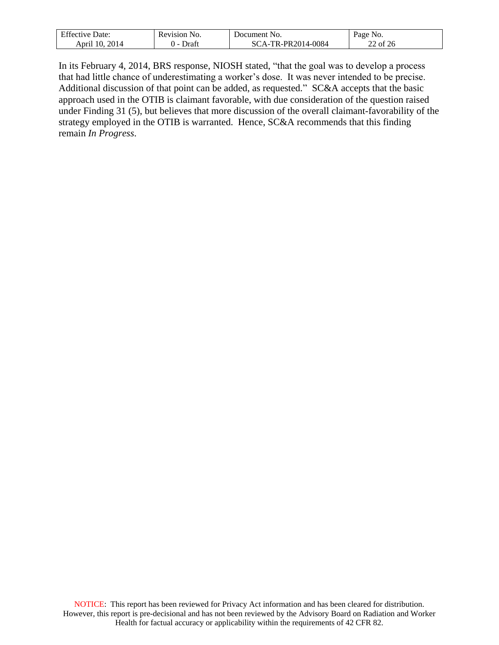| $\Gamma$ $\alpha$<br>Effective Date: | Revision No. | Document No.       | Page No. |
|--------------------------------------|--------------|--------------------|----------|
| 2014                                 | Draft        | SCA-TR-PR2014-0084 | $\sim$   |
| April 10.                            | . .          |                    | 22 of 26 |

In its February 4, 2014, BRS response, NIOSH stated, "that the goal was to develop a process that had little chance of underestimating a worker's dose. It was never intended to be precise. Additional discussion of that point can be added, as requested." SC&A accepts that the basic approach used in the OTIB is claimant favorable, with due consideration of the question raised under Finding 31 (5), but believes that more discussion of the overall claimant-favorability of the strategy employed in the OTIB is warranted. Hence, SC&A recommends that this finding remain *In Progress*.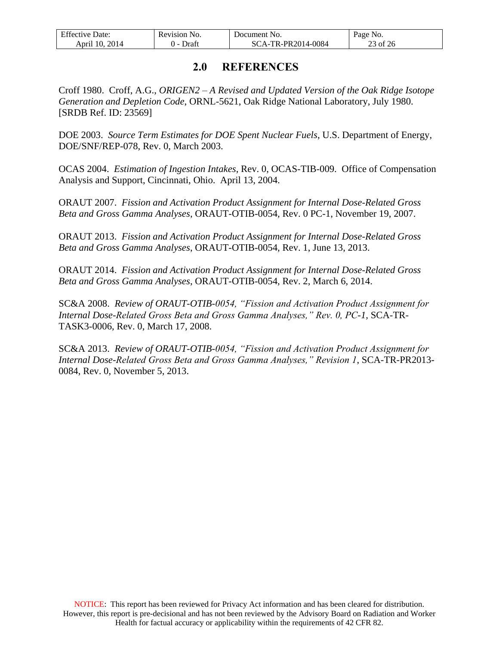| $F^{\alpha}$<br>Jate:<br>$1V$ $\theta$<br>Effect <sup>-</sup><br>. | NO.<br>sevision<br>. | Jocument<br>No.     | NO.<br>-aoe     |
|--------------------------------------------------------------------|----------------------|---------------------|-----------------|
| 2014<br>10<br>April                                                | )rai                 | -PR2014-0084<br>TD. | $\Omega$<br>ZO. |

# **2.0 REFERENCES**

<span id="page-22-0"></span>Croff 1980. Croff, A.G., *ORIGEN2 – A Revised and Updated Version of the Oak Ridge Isotope Generation and Depletion Code*, ORNL-5621, Oak Ridge National Laboratory, July 1980. [SRDB Ref. ID: 23569]

DOE 2003. *Source Term Estimates for DOE Spent Nuclear Fuels*, U.S. Department of Energy, DOE/SNF/REP-078, Rev. 0, March 2003.

OCAS 2004. *Estimation of Ingestion Intakes*, Rev. 0, OCAS-TIB-009. Office of Compensation Analysis and Support, Cincinnati, Ohio. April 13, 2004.

ORAUT 2007. *Fission and Activation Product Assignment for Internal Dose-Related Gross Beta and Gross Gamma Analyses*, ORAUT-OTIB-0054, Rev. 0 PC-1, November 19, 2007.

ORAUT 2013. *Fission and Activation Product Assignment for Internal Dose-Related Gross Beta and Gross Gamma Analyses*, ORAUT-OTIB-0054, Rev. 1, June 13, 2013.

ORAUT 2014. *Fission and Activation Product Assignment for Internal Dose-Related Gross Beta and Gross Gamma Analyses*, ORAUT-OTIB-0054, Rev. 2, March 6, 2014.

SC&A 2008. *Review of ORAUT-OTIB-0054, "Fission and Activation Product Assignment for Internal Dose-Related Gross Beta and Gross Gamma Analyses," Rev. 0, PC-1,* SCA-TR-TASK3-0006, Rev. 0, March 17, 2008.

SC&A 2013. *Review of ORAUT-OTIB-0054, "Fission and Activation Product Assignment for Internal Dose-Related Gross Beta and Gross Gamma Analyses," Revision 1*, SCA-TR-PR2013- 0084, Rev. 0, November 5, 2013.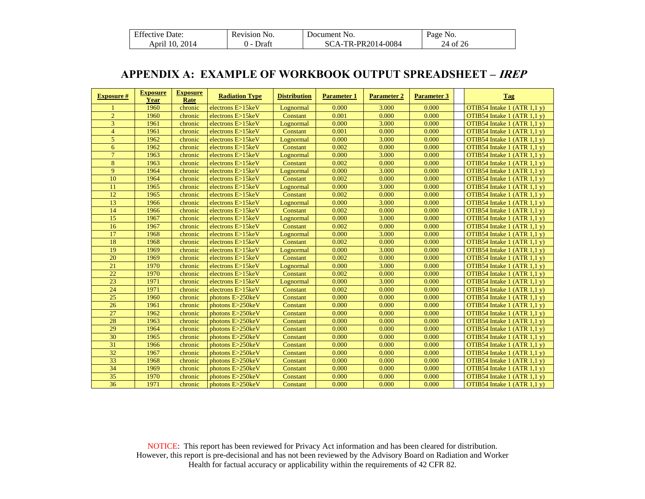| <b>Effective Date:</b> | Revision No.          | Document No.       | Page No. |
|------------------------|-----------------------|--------------------|----------|
| April 10, 2014         | Draft<br>$\mathbf{I}$ | SCA-TR-PR2014-0084 | 24 of 26 |

# **APPENDIX A: EXAMPLE OF WORKBOOK OUTPUT SPREADSHEET – IREP**

<span id="page-23-0"></span>

| <b>Exposure #</b> | <b>Exposure</b><br><b>Year</b> | <b>Exposure</b><br>Rate | <b>Radiation Type</b> | <b>Distribution</b> | <b>Parameter 1</b> | <b>Parameter 2</b> | <b>Parameter 3</b> | <b>Tag</b>                      |
|-------------------|--------------------------------|-------------------------|-----------------------|---------------------|--------------------|--------------------|--------------------|---------------------------------|
|                   | 1960                           | chronic                 | electrons $E > 15keV$ | Lognormal           | 0.000              | 3.000              | 0.000              | OTIB54 Intake $1$ (ATR $1,1$ y) |
| $\overline{2}$    | 1960                           | chronic                 | electrons E>15keV     | Constant            | 0.001              | 0.000              | 0.000              | OTIB54 Intake $1$ (ATR $1,1$ y) |
| 3                 | 1961                           | chronic                 | electrons E>15keV     | Lognormal           | 0.000              | 3.000              | 0.000              | OTIB54 Intake $1$ (ATR $1,1$ y) |
| $\overline{4}$    | 1961                           | chronic                 | electrons E>15keV     | Constant            | 0.001              | 0.000              | 0.000              | OTIB54 Intake $1$ (ATR $1,1$ y) |
| 5                 | 1962                           | chronic                 | electrons E>15keV     | Lognormal           | 0.000              | 3.000              | 0.000              | OTIB54 Intake $1$ (ATR $1,1$ y) |
| 6                 | 1962                           | chronic                 | electrons E>15keV     | Constant            | 0.002              | 0.000              | 0.000              | OTIB54 Intake $1$ (ATR $1,1$ y) |
| $\overline{7}$    | 1963                           | chronic                 | electrons E>15keV     | Lognormal           | 0.000              | 3.000              | 0.000              | OTIB54 Intake $1$ (ATR $1,1$ y) |
| 8                 | 1963                           | chronic                 | electrons $E > 15keV$ | Constant            | 0.002              | 0.000              | 0.000              | OTIB54 Intake $1$ (ATR $1,1$ y) |
| 9                 | 1964                           | chronic                 | electrons E>15keV     | Lognormal           | 0.000              | 3.000              | 0.000              | OTIB54 Intake 1 (ATR 1,1 y)     |
| 10                | 1964                           | chronic                 | electrons E>15keV     | Constant            | 0.002              | 0.000              | 0.000              | OTIB54 Intake $1$ (ATR $1,1$ y) |
| 11                | 1965                           | chronic                 | electrons E>15keV     | Lognormal           | 0.000              | 3.000              | 0.000              | OTIB54 Intake $1$ (ATR $1,1$ y) |
| 12                | 1965                           | chronic                 | electrons E>15keV     | Constant            | 0.002              | 0.000              | 0.000              | OTIB54 Intake $1$ (ATR $1,1$ y) |
| 13                | 1966                           | chronic                 | electrons E>15keV     | Lognormal           | 0.000              | 3.000              | 0.000              | OTIB54 Intake 1 (ATR 1,1 y)     |
| 14                | 1966                           | chronic                 | electrons E>15keV     | Constant            | 0.002              | 0.000              | 0.000              | OTIB54 Intake $1$ (ATR $1,1$ y) |
| 15                | 1967                           | chronic                 | electrons E>15keV     | Lognormal           | 0.000              | 3.000              | 0.000              | OTIB54 Intake $1$ (ATR $1,1$ y) |
| 16                | 1967                           | chronic                 | electrons E>15keV     | Constant            | 0.002              | 0.000              | 0.000              | OTIB54 Intake $1$ (ATR $1,1$ y) |
| 17                | 1968                           | chronic                 | electrons E>15keV     | Lognormal           | 0.000              | 3.000              | 0.000              | OTIB54 Intake $1$ (ATR $1,1$ y) |
| 18                | 1968                           | chronic                 | electrons $E > 15keV$ | Constant            | 0.002              | 0.000              | 0.000              | OTIB54 Intake $1$ (ATR $1,1$ y) |
| 19                | 1969                           | chronic                 | electrons E>15keV     | Lognormal           | 0.000              | 3.000              | 0.000              | OTIB54 Intake $1$ (ATR $1,1$ y) |
| 20                | 1969                           | chronic                 | electrons E>15keV     | Constant            | 0.002              | 0.000              | 0.000              | OTIB54 Intake $1$ (ATR $1,1$ y) |
| 21                | 1970                           | chronic                 | electrons E>15keV     | Lognormal           | 0.000              | 3.000              | 0.000              | OTIB54 Intake $1$ (ATR $1,1$ y) |
| 22                | 1970                           | chronic                 | electrons E>15keV     | Constant            | 0.002              | 0.000              | 0.000              | OTIB54 Intake $1$ (ATR $1,1$ y) |
| 23                | 1971                           | chronic                 | electrons $E > 15keV$ | Lognormal           | 0.000              | 3.000              | 0.000              | OTIB54 Intake $1$ (ATR $1,1$ y) |
| 24                | 1971                           | chronic                 | electrons $E > 15keV$ | Constant            | 0.002              | 0.000              | 0.000              | OTIB54 Intake 1 (ATR 1,1 y)     |
| 25                | 1960                           | chronic                 | photons E>250keV      | Constant            | 0.000              | 0.000              | 0.000              | OTIB54 Intake 1 (ATR 1,1 y)     |
| 26                | 1961                           | chronic                 | photons E>250keV      | Constant            | 0.000              | 0.000              | 0.000              | OTIB54 Intake $1$ (ATR $1.1$ y) |
| $\overline{27}$   | 1962                           | chronic                 | photons E>250keV      | Constant            | 0.000              | 0.000              | 0.000              | OTIB54 Intake $1$ (ATR 1,1 y)   |
| 28                | 1963                           | chronic                 | photons E>250keV      | Constant            | 0.000              | 0.000              | 0.000              | OTIB54 Intake $1$ (ATR $1,1$ y) |
| 29                | 1964                           | chronic                 | photons E>250keV      | Constant            | 0.000              | 0.000              | 0.000              | OTIB54 Intake 1 (ATR 1,1 y)     |
| 30                | 1965                           | chronic                 | photons E>250keV      | Constant            | 0.000              | 0.000              | 0.000              | OTIB54 Intake $1$ (ATR $1,1$ y) |
| $\overline{31}$   | 1966                           | chronic                 | photons E>250keV      | Constant            | 0.000              | 0.000              | 0.000              | OTIB54 Intake $1$ (ATR $1,1$ y) |
| $\overline{32}$   | 1967                           | chronic                 | photons E>250keV      | Constant            | 0.000              | 0.000              | 0.000              | OTIB54 Intake $1$ (ATR $1,1$ y) |
| $\overline{33}$   | 1968                           | chronic                 | photons E>250keV      | Constant            | 0.000              | 0.000              | 0.000              | OTIB54 Intake $1$ (ATR $1,1$ y) |
| 34                | 1969                           | chronic                 | photons E>250keV      | Constant            | 0.000              | 0.000              | 0.000              | OTIB54 Intake $1$ (ATR $1,1$ y) |
| $\overline{35}$   | 1970                           | chronic                 | photons E>250keV      | Constant            | 0.000              | 0.000              | 0.000              | OTIB54 Intake $1$ (ATR $1,1$ y) |
| $\overline{36}$   | 1971                           | chronic                 | photons E>250keV      | Constant            | 0.000              | 0.000              | 0.000              | OTIB54 Intake 1 (ATR 1,1 y)     |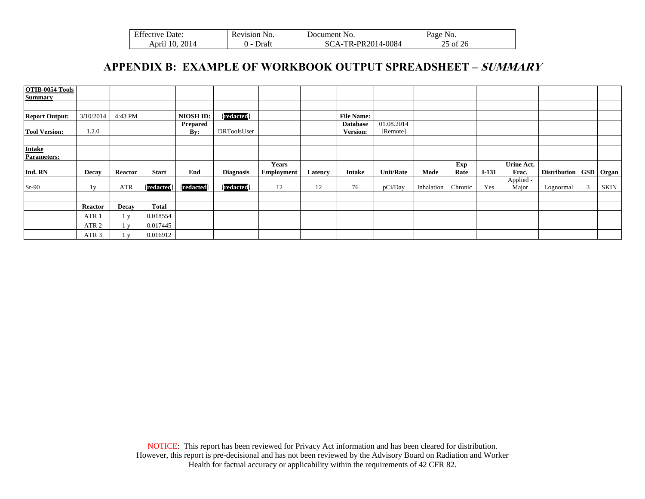| <b>Effective Date:</b> | Revision No. | Document No.       | Page No. |
|------------------------|--------------|--------------------|----------|
| April 10, 2014         | Draft        | SCA-TR-PR2014-0084 | 25 of 26 |

# **APPENDIX B: EXAMPLE OF WORKBOOK OUTPUT SPREADSHEET – SUMMARY**

<span id="page-24-0"></span>

| OTIB-0054 Tools<br><b>Summary</b>   |                  |                |                   |                   |                  |                   |         |                   |                  |            |         |         |                    |                            |   |             |
|-------------------------------------|------------------|----------------|-------------------|-------------------|------------------|-------------------|---------|-------------------|------------------|------------|---------|---------|--------------------|----------------------------|---|-------------|
|                                     |                  |                |                   |                   |                  |                   |         |                   |                  |            |         |         |                    |                            |   |             |
| <b>Report Output:</b>               | 3/10/2014        | 4:43 PM        |                   | <b>NIOSH ID:</b>  | [redacted]       |                   |         | <b>File Name:</b> |                  |            |         |         |                    |                            |   |             |
|                                     |                  |                |                   | Prepared          |                  |                   |         | <b>Database</b>   | 01.08.2014       |            |         |         |                    |                            |   |             |
| <b>Tool Version:</b>                | 1.2.0            |                |                   | By:               | DRToolsUser      |                   |         | <b>Version:</b>   | [Remote]         |            |         |         |                    |                            |   |             |
|                                     |                  |                |                   |                   |                  |                   |         |                   |                  |            |         |         |                    |                            |   |             |
| <b>Intake</b><br><b>Parameters:</b> |                  |                |                   |                   |                  |                   |         |                   |                  |            |         |         |                    |                            |   |             |
|                                     |                  |                |                   |                   |                  | <b>Years</b>      |         |                   |                  |            | Exp     |         | Urine Act.         |                            |   |             |
| Ind. RN                             | Decay            | <b>Reactor</b> | <b>Start</b>      | End               | <b>Diagnosis</b> | <b>Employment</b> | Latency | <b>Intake</b>     | <b>Unit/Rate</b> | Mode       | Rate    | $I-131$ | Frac.              | Distribution   GSD   Organ |   |             |
| $Sr-90$                             | 1v               | ATR            | <b>[redacted]</b> | <b>[redacted]</b> | <b>Tredacted</b> | 12                | 12      | 76                | pCi/Day          | Inhalation | Chronic | Yes     | Applied -<br>Major | Lognormal                  | 3 | <b>SKIN</b> |
|                                     |                  |                |                   |                   |                  |                   |         |                   |                  |            |         |         |                    |                            |   |             |
|                                     | <b>Reactor</b>   | Decay          | <b>Total</b>      |                   |                  |                   |         |                   |                  |            |         |         |                    |                            |   |             |
|                                     | ATR <sub>1</sub> | $\mathbf{V}$   | 0.018554          |                   |                  |                   |         |                   |                  |            |         |         |                    |                            |   |             |
|                                     | ATR <sub>2</sub> | $\mathbf{V}$   | 0.017445          |                   |                  |                   |         |                   |                  |            |         |         |                    |                            |   |             |
|                                     | ATR <sub>3</sub> | $\mathbf{V}$   | 0.016912          |                   |                  |                   |         |                   |                  |            |         |         |                    |                            |   |             |